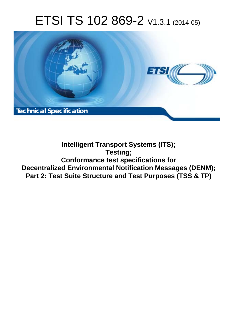# ETSI TS 102 869-2 V1.3.1 (2014-05)



**Intelligent Transport Systems (ITS); Testing; Conformance test specifications for Decentralized Environmental Notification Messages (DENM); Part 2: Test Suite Structure and Test Purposes (TSS & TP)**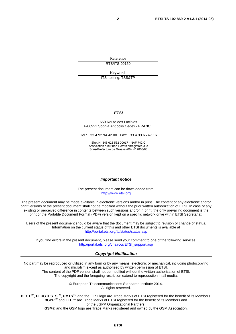Reference RTS/ITS-00150

Keywords

ITS, testing, TSS&TP

#### *ETSI*

#### 650 Route des Lucioles F-06921 Sophia Antipolis Cedex - FRANCE

Tel.: +33 4 92 94 42 00 Fax: +33 4 93 65 47 16

Siret N° 348 623 562 00017 - NAF 742 C Association à but non lucratif enregistrée à la Sous-Préfecture de Grasse (06) N° 7803/88

#### *Important notice*

The present document can be downloaded from: [http://www.etsi.org](http://www.etsi.org/)

The present document may be made available in electronic versions and/or in print. The content of any electronic and/or print versions of the present document shall not be modified without the prior written authorization of ETSI. In case of any existing or perceived difference in contents between such versions and/or in print, the only prevailing document is the print of the Portable Document Format (PDF) version kept on a specific network drive within ETSI Secretariat.

Users of the present document should be aware that the document may be subject to revision or change of status. Information on the current status of this and other ETSI documents is available at <http://portal.etsi.org/tb/status/status.asp>

If you find errors in the present document, please send your comment to one of the following services: [http://portal.etsi.org/chaircor/ETSI\\_support.asp](http://portal.etsi.org/chaircor/ETSI_support.asp)

#### *Copyright Notification*

No part may be reproduced or utilized in any form or by any means, electronic or mechanical, including photocopying and microfilm except as authorized by written permission of ETSI.

The content of the PDF version shall not be modified without the written authorization of ETSI. The copyright and the foregoing restriction extend to reproduction in all media.

> © European Telecommunications Standards Institute 2014. All rights reserved.

**DECT**TM, **PLUGTESTS**TM, **UMTS**TM and the ETSI logo are Trade Marks of ETSI registered for the benefit of its Members. **3GPP**TM and **LTE**™ are Trade Marks of ETSI registered for the benefit of its Members and of the 3GPP Organizational Partners.

**GSM**® and the GSM logo are Trade Marks registered and owned by the GSM Association.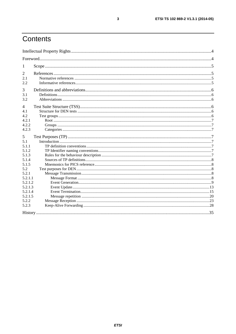# Contents

| 1       |  |
|---------|--|
| 2       |  |
| 2.1     |  |
| 2.2     |  |
| 3       |  |
| 3.1     |  |
| 3.2     |  |
| 4       |  |
| 4.1     |  |
| 4.2     |  |
| 4.2.1   |  |
| 4.2.2   |  |
| 4.2.3   |  |
| 5       |  |
| 5.1     |  |
| 5.1.1   |  |
| 5.1.2   |  |
| 5.1.3   |  |
| 5.1.4   |  |
| 5.1.5   |  |
| 5.2     |  |
| 5.2.1   |  |
| 5.2.1.1 |  |
| 5.2.1.2 |  |
| 5.2.1.3 |  |
| 5.2.1.4 |  |
| 5.2.1.5 |  |
| 5.2.2   |  |
| 5.2.3   |  |
|         |  |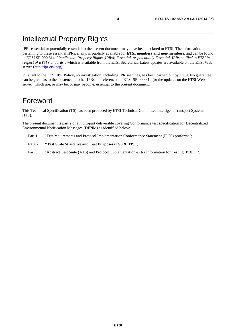# <span id="page-3-0"></span>Intellectual Property Rights

IPRs essential or potentially essential to the present document may have been declared to ETSI. The information pertaining to these essential IPRs, if any, is publicly available for **ETSI members and non-members**, and can be found in ETSI SR 000 314: *"Intellectual Property Rights (IPRs); Essential, or potentially Essential, IPRs notified to ETSI in respect of ETSI standards"*, which is available from the ETSI Secretariat. Latest updates are available on the ETSI Web server [\(http://ipr.etsi.org\)](http://webapp.etsi.org/IPR/home.asp).

Pursuant to the ETSI IPR Policy, no investigation, including IPR searches, has been carried out by ETSI. No guarantee can be given as to the existence of other IPRs not referenced in ETSI SR 000 314 (or the updates on the ETSI Web server) which are, or may be, or may become, essential to the present document.

### Foreword

This Technical Specification (TS) has been produced by ETSI Technical Committee Intelligent Transport Systems (ITS).

The present document is part 2 of a multi-part deliverable covering Conformance test specification for Decentralized Environmental Notification Messages (DENM) as identified below:

Part 1: "Test requirements and Protocol Implementation Conformance Statement (PICS) proforma";

#### Part 2: "Test Suite Structure and Test Purposes (TSS & TP)";

Part 3: "Abstract Test Suite (ATS) and Protocol Implementation eXtra Information for Testing (PIXIT)".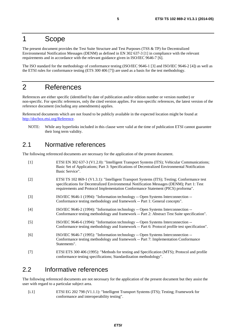### <span id="page-4-0"></span>1 Scope

The present document provides the Test Suite Structure and Test Purposes (TSS & TP) for Decentralized Environmental Notification Messages (DENM) as defined in EN 302 637-3 [1] in compliance with the relevant requirements and in accordance with the relevant guidance given in ISO/IEC 9646-7 [6].

The ISO standard for the methodology of conformance testing (ISO/IEC 9646-1 [3] and ISO/IEC 9646-2 [4]) as well as the ETSI rules for conformance testing (ETS 300 406 [7]) are used as a basis for the test methodology.

# 2 References

References are either specific (identified by date of publication and/or edition number or version number) or non-specific. For specific references, only the cited version applies. For non-specific references, the latest version of the reference document (including any amendments) applies.

Referenced documents which are not found to be publicly available in the expected location might be found at [http://docbox.etsi.org/Reference.](http://docbox.etsi.org/Reference)

NOTE: While any hyperlinks included in this clause were valid at the time of publication ETSI cannot guarantee their long term validity.

### 2.1 Normative references

The following referenced documents are necessary for the application of the present document.

| $[1]$ | ETSI EN 302 637-3 (V1.2.0): "Intelligent Transport Systems (ITS); Vehicular Communications;<br>Basic Set of Applications; Part 3: Specifications of Decentralized Environmental Notification<br>Basic Service".                                                              |
|-------|------------------------------------------------------------------------------------------------------------------------------------------------------------------------------------------------------------------------------------------------------------------------------|
| $[2]$ | ETSI TS 102 869-1 (V1.3.1): "Intelligent Transport Systems (ITS); Testing; Conformance test<br>specifications for Decentralized Environmental Notification Messages (DENM); Part 1: Test<br>requirements and Protocol Implementation Conformance Statement (PICS) proforma". |
| $[3]$ | ISO/IEC 9646-1 (1994): "Information technology -- Open Systems Interconnection --<br>Conformance testing methodology and framework -- Part 1: General concepts".                                                                                                             |
| $[4]$ | ISO/IEC 9646-2 (1994): "Information technology -- Open Systems Interconnection --<br>Conformance testing methodology and framework -- Part 2: Abstract Test Suite specification".                                                                                            |
| $[5]$ | ISO/IEC 9646-6 (1994): "Information technology -- Open Systems Interconnection --<br>Conformance testing methodology and framework -- Part 6: Protocol profile test specification".                                                                                          |
| [6]   | ISO/IEC 9646-7 (1995): "Information technology -- Open Systems Interconnection --<br>Conformance testing methodology and framework -- Part 7: Implementation Conformance<br>Statements".                                                                                     |
| $[7]$ | ETSI ETS 300 406 (1995): "Methods for testing and Specification (MTS); Protocol and profile<br>conformance testing specifications; Standardization methodology".                                                                                                             |

### 2.2 Informative references

The following referenced documents are not necessary for the application of the present document but they assist the user with regard to a particular subject area.

[i.1] ETSI EG 202 798 (V1.1.1): "Intelligent Transport Systems (ITS); Testing; Framework for conformance and interoperability testing".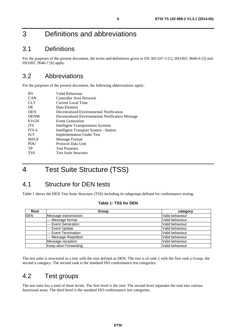# <span id="page-5-0"></span>3 Definitions and abbreviations

### 3.1 Definitions

For the purposes of the present document, the terms and definitions given in EN 302 637-3 [\[1](#page-4-0)], ISO/IEC 9646-6 [\[5](#page-4-0)] and ISO/IEC 9646-7 [\[6](#page-4-0)] apply.

### 3.2 Abbreviations

For the purposes of the present document, the following abbreviations apply:

| <b>BV</b>    | Valid Behaviour                                  |
|--------------|--------------------------------------------------|
| <b>CAN</b>   | Controller Area Network                          |
| <b>CLT</b>   | Current Local Time                               |
| DE           | Data Element                                     |
| <b>DEN</b>   | Decentralized Environmental Notification         |
| <b>DENM</b>  | Decentralized Environmental Notification Message |
| <b>EVGN</b>  | Event Generation                                 |
| <b>ITS</b>   | <b>Intelligent Transportation Systems</b>        |
| <b>ITS-S</b> | <b>Intelligent Transport System - Station</b>    |
| <b>IUT</b>   | <b>Implementation Under Test</b>                 |
| <b>MSGF</b>  | Message Format                                   |
| <b>PDU</b>   | Protocol Data Unit                               |
| TP           | <b>Test Purposes</b>                             |
| <b>TSS</b>   | <b>Test Suite Structure</b>                      |

# 4 Test Suite Structure (TSS)

### 4.1 Structure for DEN tests

Table 1 shows the DEN Test Suite Structure (TSS) including its subgroups defined for conformance testing.

| <b>Table 1: TSS for DEN</b> |  |  |  |  |
|-----------------------------|--|--|--|--|
|-----------------------------|--|--|--|--|

| Root       | Group                  | category         |
|------------|------------------------|------------------|
| <b>DEN</b> | Message transmission   | lValid behaviour |
|            | --- Message format     | Valid behaviour  |
|            | --- Event Generation   | lValid behaviour |
|            | --- Event Update       | Valid behaviour  |
|            | --- Event Termination  | lValid behaviour |
|            | --- Message Repetition | Valid behaviour  |
|            | Message reception      | lValid behaviour |
|            | Keep-alive Forwarding  | Valid behaviour  |

The test suite is structured as a tree with the root defined as DEN. The tree is of rank 2 with the first rank a Group, the second a category. The second rank is the standard ISO conformance test categories.

### 4.2 Test groups

The test suite has a total of three levels. The first level is the root. The second level separates the root into various functional areas. The third level is the standard ISO conformance test categories.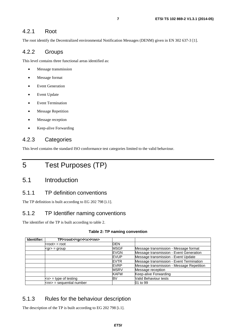### <span id="page-6-0"></span>4.2.1 Root

The root identify the Decentralized environmental Notification Messages (DENM) given in EN 302 637-3 [\[1](#page-4-0)].

### 4.2.2 Groups

This level contains three functional areas identified as:

- Message transmission
- Message format
- Event Generation
- Event Update
- Event Termination
- **Message Repetition**
- Message reception
- Keep-alive Forwarding

### 4.2.3 Categories

This level contains the standard ISO conformance test categories limited to the valid behaviour.

# 5 Test Purposes (TP)

### 5.1 Introduction

### 5.1.1 TP definition conventions

The TP definition is built according to EG 202 798 [\[i.1](#page-4-0)].

### 5.1.2 TP Identifier naming conventions

The identifier of the TP is built according to table 2.

#### **Table 2: TP naming convention**

| Identifier: | TP/ <root>/<gr>/<x>/<nn></nn></x></gr></root> |              |                                           |
|-------------|-----------------------------------------------|--------------|-------------------------------------------|
|             | $<$ root $>$ = root                           | <b>DEN</b>   |                                           |
|             | $\text{q}$ r $>$ = group                      | <b>MSGF</b>  | Message transmission - Message format     |
|             |                                               | <b>IEVGN</b> | Message transmission - Event Generation   |
|             |                                               | <b>IEVUP</b> | Message transmission - Event Update       |
|             |                                               | <b>EVTR</b>  | Message transmission - Event Termination  |
|             |                                               | <b>EVRP</b>  | Message transmission - Message Repetition |
|             |                                               | <b>MSRV</b>  | Message reception                         |
|             |                                               | <b>KAFW</b>  | Keep-alive Forwarding                     |
|             | $\langle x \rangle$ = type of testing         | BV           | Valid Behaviour tests                     |
|             | $\textsf{knn}$ = sequential number            |              | 01 to 99                                  |

### 5.1.3 Rules for the behaviour description

The description of the TP is built according to EG 202 798 [\[i.1](#page-4-0)].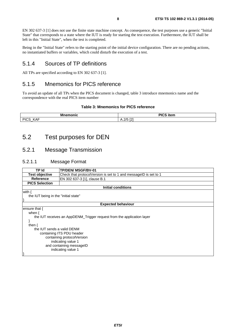<span id="page-7-0"></span>EN 302 637-3 [\[1](#page-4-0)] does not use the finite state machine concept. As consequence, the test purposes use a generic "Initial State" that corresponds to a state where the IUT is ready for starting the test execution. Furthermore, the IUT shall be left in this "Initial State", when the test is completed.

Being in the "Initial State" refers to the starting point of the initial device configuration. There are no pending actions, no instantiated buffers or variables, which could disturb the execution of a test.

### 5.1.4 Sources of TP definitions

All TPs are specified according to EN 302 637-3 [\[1](#page-4-0)].

### 5.1.5 Mnemonics for PICS reference

To avoid an update of all TPs when the PICS document is changed, table 3 introduce mnemonics name and the correspondence with the real PICS item number

#### **Table 3: Mnemonics for PICS reference**

| --<br>м        | <b>DICC.</b><br>ĦН.                                      |
|----------------|----------------------------------------------------------|
| PICS<br>v<br>- | <b>ECT</b><br>$\Omega$<br>$\mathbf{v}$<br>$\ddotsc$<br>. |

### 5.2 Test purposes for DEN

### 5.2.1 Message Transmission

### 5.2.1.1 Message Format

| TP Id                                | <b>TP/DEN/ MSGF/BV-01</b>                                              |  |  |
|--------------------------------------|------------------------------------------------------------------------|--|--|
|                                      |                                                                        |  |  |
| <b>Test objective</b>                | Check that protocolVersion is set to 1 and messageID is set to 1       |  |  |
| Reference                            | EN 302 637-3 [1], clause B.1                                           |  |  |
| <b>PICS Selection</b>                |                                                                        |  |  |
|                                      | <b>Initial conditions</b>                                              |  |  |
| with {                               |                                                                        |  |  |
| the IUT being in the "initial state" |                                                                        |  |  |
|                                      |                                                                        |  |  |
|                                      | <b>Expected behaviour</b>                                              |  |  |
| ensure that $\{$                     |                                                                        |  |  |
| when $\{$                            |                                                                        |  |  |
|                                      | the IUT receives an AppDENM_Trigger request from the application layer |  |  |
|                                      |                                                                        |  |  |
| then $\{$                            |                                                                        |  |  |
| the IUT sends a valid DENM           |                                                                        |  |  |
|                                      |                                                                        |  |  |
| containing ITS PDU header            |                                                                        |  |  |
| containing protocolVersion           |                                                                        |  |  |
| indicating value 1                   |                                                                        |  |  |
| and containing messageID             |                                                                        |  |  |
|                                      | indicating value 1                                                     |  |  |
|                                      |                                                                        |  |  |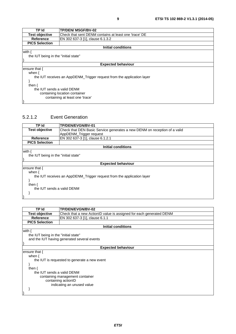<span id="page-8-0"></span>

| <b>TP Id</b>                                                           | TP/DEN/ MSGF/BV-02                                    |  |
|------------------------------------------------------------------------|-------------------------------------------------------|--|
| <b>Test objective</b>                                                  | Check that sent DENM contains at least one 'trace' DE |  |
| <b>Reference</b>                                                       | EN 302 637-3 [1], clause 6.1.3.2                      |  |
| <b>PICS Selection</b>                                                  |                                                       |  |
|                                                                        | Initial conditions                                    |  |
| with                                                                   |                                                       |  |
| the IUT being in the "initial state"                                   |                                                       |  |
|                                                                        |                                                       |  |
|                                                                        | <b>Expected behaviour</b>                             |  |
| ensure that {                                                          |                                                       |  |
| when $\{$                                                              |                                                       |  |
| the IUT receives an AppDENM_Trigger request from the application layer |                                                       |  |
|                                                                        |                                                       |  |
| then $\{$                                                              |                                                       |  |
| the IUT sends a valid DENM                                             |                                                       |  |
| containing location container                                          |                                                       |  |
| containing at least one 'trace'                                        |                                                       |  |
|                                                                        |                                                       |  |

### 5.2.1.2 Event Generation



| <b>TP Id</b>                                 | TP/DEN/EVGN/BV-02                                                   |  |  |
|----------------------------------------------|---------------------------------------------------------------------|--|--|
| <b>Test objective</b>                        | Check that a new ActionID value is assigned for each generated DENM |  |  |
| Reference                                    | EN 302 637-3 [1], clause 6.1.1                                      |  |  |
| <b>PICS Selection</b>                        |                                                                     |  |  |
|                                              | <b>Initial conditions</b>                                           |  |  |
| with {                                       |                                                                     |  |  |
| the IUT being in the "initial state"         |                                                                     |  |  |
|                                              | and the IUT having generated several events                         |  |  |
|                                              |                                                                     |  |  |
| <b>Expected behaviour</b>                    |                                                                     |  |  |
| ensure that {                                |                                                                     |  |  |
| when $\{$                                    |                                                                     |  |  |
| the IUT is requested to generate a new event |                                                                     |  |  |
|                                              |                                                                     |  |  |
| then $\{$                                    |                                                                     |  |  |
| the IUT sends a valid DENM                   |                                                                     |  |  |
| containing management container              |                                                                     |  |  |
| containing actionID                          |                                                                     |  |  |
| indicating an unused value                   |                                                                     |  |  |
|                                              |                                                                     |  |  |
|                                              |                                                                     |  |  |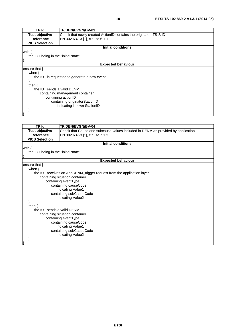| TP Id                                | <b>TP/DEN/EVGN/BV-03</b>                                           |  |  |
|--------------------------------------|--------------------------------------------------------------------|--|--|
| <b>Test objective</b>                | Check that newly created ActionID contains the originator ITS-S ID |  |  |
| Reference                            | EN 302 637-3 [1], clause 6.1.1                                     |  |  |
| <b>PICS Selection</b>                |                                                                    |  |  |
|                                      | <b>Initial conditions</b>                                          |  |  |
| with {                               |                                                                    |  |  |
| the IUT being in the "initial state" |                                                                    |  |  |
|                                      |                                                                    |  |  |
|                                      | <b>Expected behaviour</b>                                          |  |  |
| ensure that {                        |                                                                    |  |  |
| when $\{$                            |                                                                    |  |  |
|                                      | the IUT is requested to generate a new event                       |  |  |
|                                      |                                                                    |  |  |
| then $\{$                            |                                                                    |  |  |
|                                      | the IUT sends a valid DENM                                         |  |  |
| containing management container      |                                                                    |  |  |
| containing actionID                  |                                                                    |  |  |
| containing originatorStationID       |                                                                    |  |  |
| indicating its own StationID         |                                                                    |  |  |
|                                      |                                                                    |  |  |
|                                      |                                                                    |  |  |

| <b>TP Id</b>                         | TP/DEN/EVGN/BV-04                                                                |  |  |
|--------------------------------------|----------------------------------------------------------------------------------|--|--|
| <b>Test objective</b>                | Check that Cause and subcause values included in DENM as provided by application |  |  |
|                                      | <b>Reference</b><br>EN 302 637-3 [1], clause 7.1.3                               |  |  |
| <b>PICS Selection</b>                |                                                                                  |  |  |
|                                      | <b>Initial conditions</b>                                                        |  |  |
| with $\{$                            |                                                                                  |  |  |
| the IUT being in the "initial state" |                                                                                  |  |  |
|                                      |                                                                                  |  |  |
|                                      | <b>Expected behaviour</b>                                                        |  |  |
| ensure that $\{$                     |                                                                                  |  |  |
| when $\{$                            |                                                                                  |  |  |
|                                      | the IUT receives an AppDENM_trigger request from the application layer           |  |  |
|                                      | containing situation container                                                   |  |  |
|                                      | containing eventType                                                             |  |  |
|                                      | containing causeCode                                                             |  |  |
|                                      | indicating Value1                                                                |  |  |
|                                      | containing subCauseCode                                                          |  |  |
|                                      | indicating Value2                                                                |  |  |
|                                      |                                                                                  |  |  |
| then $\{$                            |                                                                                  |  |  |
|                                      | the IUT sends a valid DENM                                                       |  |  |
| containing situation container       |                                                                                  |  |  |
| containing eventType                 |                                                                                  |  |  |
| containing causeCode                 |                                                                                  |  |  |
| indicating Value1                    |                                                                                  |  |  |
|                                      | containing subCauseCode                                                          |  |  |
|                                      | indicating Value2                                                                |  |  |
|                                      |                                                                                  |  |  |
|                                      |                                                                                  |  |  |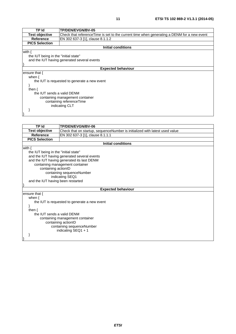| TP Id                                        | <b>TP/DEN/EVGN/BV-05</b>                                                                    |  |
|----------------------------------------------|---------------------------------------------------------------------------------------------|--|
| <b>Test objective</b>                        | Check that reference Time is set to the current time when generating a DENM for a new event |  |
| <b>Reference</b>                             | EN 302 637-3 [1], clause 8.1.1.2                                                            |  |
| <b>PICS Selection</b>                        |                                                                                             |  |
|                                              | <b>Initial conditions</b>                                                                   |  |
| with {                                       |                                                                                             |  |
| the IUT being in the "initial state"         |                                                                                             |  |
| and the IUT having generated several events  |                                                                                             |  |
|                                              |                                                                                             |  |
| <b>Expected behaviour</b>                    |                                                                                             |  |
| ensure that $\{$                             |                                                                                             |  |
| when $\{$                                    |                                                                                             |  |
| the IUT is requested to generate a new event |                                                                                             |  |
|                                              |                                                                                             |  |
| then $\{$                                    |                                                                                             |  |
| the IUT sends a valid DENM                   |                                                                                             |  |
| containing management container              |                                                                                             |  |
| containing referenceTime                     |                                                                                             |  |
| indicating CLT                               |                                                                                             |  |
|                                              |                                                                                             |  |
|                                              |                                                                                             |  |

| TP/DEN/EVGN/BV-06                                                           |  |
|-----------------------------------------------------------------------------|--|
| Check that on startup, sequenceNumber is initialized with latest used value |  |
| EN 302 637-3 [1], clause 8.1.1.1                                            |  |
|                                                                             |  |
| <b>Initial conditions</b>                                                   |  |
|                                                                             |  |
| the IUT being in the "initial state"                                        |  |
| and the IUT having generated several events                                 |  |
| and the IUT having generated its last DENM                                  |  |
| containing management container                                             |  |
| containing actionID                                                         |  |
| containing sequenceNumber                                                   |  |
| indicating SEQ1                                                             |  |
| and the IUT having been restarted                                           |  |
|                                                                             |  |
| <b>Expected behaviour</b>                                                   |  |
| ensure that $\{$                                                            |  |
| when $\{$                                                                   |  |
| the IUT is requested to generate a new event                                |  |
|                                                                             |  |
| then $\{$<br>the IUT sends a valid DENM                                     |  |
|                                                                             |  |
| containing management container                                             |  |
| containing actionID<br>containing sequenceNumber                            |  |
| indicating SEQ1 + 1                                                         |  |
|                                                                             |  |
|                                                                             |  |
|                                                                             |  |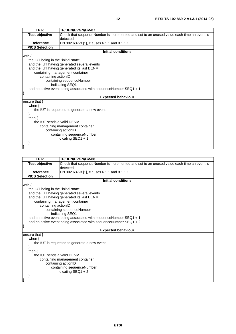| <b>TP Id</b>                         | TP/DEN/EVGN/BV-07                                                                         |  |
|--------------------------------------|-------------------------------------------------------------------------------------------|--|
| <b>Test objective</b>                | Check that sequenceNumber is incremented and set to an unused value each time an event is |  |
|                                      | detected                                                                                  |  |
| Reference                            | EN 302 637-3 [1], clauses 6.1.1 and 8.1.1.1                                               |  |
| <b>PICS Selection</b>                |                                                                                           |  |
|                                      | <b>Initial conditions</b>                                                                 |  |
| with $\{$                            |                                                                                           |  |
| the IUT being in the "initial state" |                                                                                           |  |
|                                      | and the IUT having generated several events                                               |  |
|                                      | and the IUT having generated its last DENM                                                |  |
|                                      | containing management container                                                           |  |
|                                      | containing actionID                                                                       |  |
|                                      | containing sequenceNumber                                                                 |  |
|                                      | indicating SEQ1                                                                           |  |
|                                      | and no active event being associated with sequenceNumber SEQ1 + 1                         |  |
|                                      |                                                                                           |  |
|                                      | <b>Expected behaviour</b>                                                                 |  |
| ensure that $\{$                     |                                                                                           |  |
|                                      | when $\{$                                                                                 |  |
|                                      | the IUT is requested to generate a new event                                              |  |
|                                      |                                                                                           |  |
| then $\{$                            |                                                                                           |  |
| the IUT sends a valid DENM           |                                                                                           |  |
| containing management container      |                                                                                           |  |
| containing actionID                  |                                                                                           |  |
| containing sequenceNumber            |                                                                                           |  |
|                                      | indicating SEQ1 + 1                                                                       |  |
|                                      |                                                                                           |  |
|                                      |                                                                                           |  |

| TP Id                                | TP/DEN/EVGN/BV-08                                                                         |  |
|--------------------------------------|-------------------------------------------------------------------------------------------|--|
| <b>Test objective</b>                | Check that sequenceNumber is incremented and set to an unused value each time an event is |  |
|                                      | detected                                                                                  |  |
| <b>Reference</b>                     | EN 302 637-3 [1], clauses 6.1.1 and 8.1.1.1                                               |  |
| <b>PICS Selection</b>                |                                                                                           |  |
|                                      | <b>Initial conditions</b>                                                                 |  |
| with $\{$                            |                                                                                           |  |
| the IUT being in the "initial state" |                                                                                           |  |
|                                      | and the IUT having generated several events                                               |  |
|                                      | and the IUT having generated its last DENM                                                |  |
|                                      | containing management container                                                           |  |
|                                      | containing actionID                                                                       |  |
|                                      | containing sequenceNumber                                                                 |  |
|                                      | indicating SEQ1                                                                           |  |
|                                      | and an active event being associated with sequence Number SEQ1 + 1                        |  |
|                                      | and no active event being associated with sequence Number $SEQ1 + 2$                      |  |
|                                      | <b>Expected behaviour</b>                                                                 |  |
| ensure that $\{$                     |                                                                                           |  |
| when $\{$                            |                                                                                           |  |
|                                      |                                                                                           |  |
|                                      | the IUT is requested to generate a new event                                              |  |
| then $\{$                            |                                                                                           |  |
| the IUT sends a valid DENM           |                                                                                           |  |
| containing management container      |                                                                                           |  |
| containing actionID                  |                                                                                           |  |
|                                      | containing sequenceNumber                                                                 |  |
|                                      | indicating $SEQ1 + 2$                                                                     |  |
|                                      |                                                                                           |  |
|                                      |                                                                                           |  |
|                                      |                                                                                           |  |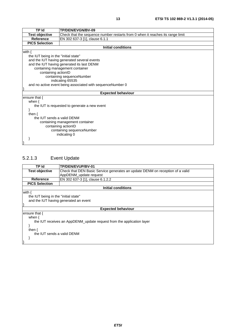<span id="page-12-0"></span>

| <b>TP Id</b>                               | TP/DEN/EVGN/BV-09                                                              |  |
|--------------------------------------------|--------------------------------------------------------------------------------|--|
| <b>Test objective</b>                      | Check that the sequence number restarts from 0 when it reaches its range limit |  |
| Reference                                  | EN 302 637-3 [1], clause 6.1.1                                                 |  |
| <b>PICS Selection</b>                      |                                                                                |  |
|                                            | <b>Initial conditions</b>                                                      |  |
| with $\{$                                  |                                                                                |  |
| the IUT being in the "initial state"       |                                                                                |  |
|                                            | and the IUT having generated several events                                    |  |
| and the IUT having generated its last DENM |                                                                                |  |
|                                            | containing management container                                                |  |
| containing actionID                        |                                                                                |  |
|                                            | containing sequenceNumber                                                      |  |
| indicating 65535                           |                                                                                |  |
|                                            | and no active event being associated with sequenceNumber 0                     |  |
|                                            |                                                                                |  |
|                                            | <b>Expected behaviour</b>                                                      |  |
| ensure that $\{$                           |                                                                                |  |
| when $\{$                                  |                                                                                |  |
|                                            | the IUT is requested to generate a new event                                   |  |
|                                            |                                                                                |  |
| then $\{$                                  |                                                                                |  |
| the IUT sends a valid DENM                 |                                                                                |  |
| containing management container            |                                                                                |  |
| containing actionID                        |                                                                                |  |
| containing sequenceNumber                  |                                                                                |  |
|                                            | indicating 0                                                                   |  |
|                                            |                                                                                |  |
|                                            |                                                                                |  |

## 5.2.1.3 Event Update

| TP Id                                 | TP/DEN/EVUP/BV-01                                                             |  |
|---------------------------------------|-------------------------------------------------------------------------------|--|
| <b>Test objective</b>                 | Check that DEN Basic Service generates an update DENM on reception of a valid |  |
|                                       | AppDENM update request                                                        |  |
| Reference                             | EN 302 637-3 [1], clause 6.1.2.2                                              |  |
| <b>PICS Selection</b>                 |                                                                               |  |
|                                       | Initial conditions                                                            |  |
| with $\{$                             |                                                                               |  |
| the IUT being in the "initial state"  |                                                                               |  |
| and the IUT having generated an event |                                                                               |  |
|                                       |                                                                               |  |
| <b>Expected behaviour</b>             |                                                                               |  |
| ensure that {                         |                                                                               |  |
| when $\{$                             |                                                                               |  |
|                                       | the IUT receives an AppDENM_update request from the application layer         |  |
|                                       |                                                                               |  |
| then $\{$                             |                                                                               |  |
| the IUT sends a valid DENM            |                                                                               |  |
|                                       |                                                                               |  |
|                                       |                                                                               |  |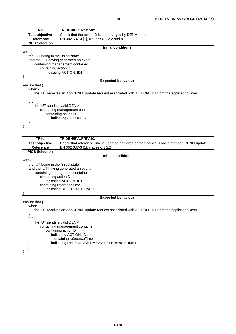| <b>TP Id</b>                    | TP/DEN/EVUP/BV-02                                                                                |  |
|---------------------------------|--------------------------------------------------------------------------------------------------|--|
| <b>Test objective</b>           | Check that the actionID is not changed by DENM update                                            |  |
| <b>Reference</b>                | EN 302 637-3 [1], clauses 6.1.2.2 and 8.1.1.1                                                    |  |
| <b>PICS Selection</b>           |                                                                                                  |  |
|                                 | <b>Initial conditions</b>                                                                        |  |
|                                 |                                                                                                  |  |
| with {                          |                                                                                                  |  |
|                                 | the IUT being in the "initial state"                                                             |  |
|                                 | and the IUT having generated an event                                                            |  |
|                                 | containing management container                                                                  |  |
| containing actionID             |                                                                                                  |  |
| indicating ACTION_ID1           |                                                                                                  |  |
|                                 |                                                                                                  |  |
|                                 | <b>Expected behaviour</b>                                                                        |  |
| ensure that $\{$                |                                                                                                  |  |
| when $\{$                       |                                                                                                  |  |
|                                 | the IUT receives an AppDENM_update request associated with ACTION_ID1 from the application layer |  |
|                                 |                                                                                                  |  |
| then $\{$                       |                                                                                                  |  |
| the IUT sends a valid DENM      |                                                                                                  |  |
| containing management container |                                                                                                  |  |
| containing actionID             |                                                                                                  |  |
|                                 |                                                                                                  |  |
|                                 | indicating ACTION_ID1                                                                            |  |
|                                 |                                                                                                  |  |
|                                 |                                                                                                  |  |

| <b>TP Id</b>                                                                                     | TP/DEN/EVUP/BV-03                                                                        |  |  |
|--------------------------------------------------------------------------------------------------|------------------------------------------------------------------------------------------|--|--|
| <b>Test objective</b>                                                                            | Check that referenceTime is updated and greater than previous value for each DENM update |  |  |
| Reference                                                                                        | EN 302 637-3 [1], clause 6.1.2.2                                                         |  |  |
| <b>PICS Selection</b>                                                                            |                                                                                          |  |  |
|                                                                                                  | <b>Initial conditions</b>                                                                |  |  |
| with $\{$                                                                                        |                                                                                          |  |  |
| the IUT being in the "initial state"                                                             |                                                                                          |  |  |
|                                                                                                  | and the IUT having generated an event                                                    |  |  |
|                                                                                                  | containing management container                                                          |  |  |
| containing actionID                                                                              |                                                                                          |  |  |
|                                                                                                  | indicating ACTION_ID1                                                                    |  |  |
| containing referenceTime                                                                         |                                                                                          |  |  |
| indicating REFERENCETIME1                                                                        |                                                                                          |  |  |
|                                                                                                  |                                                                                          |  |  |
|                                                                                                  | <b>Expected behaviour</b>                                                                |  |  |
| ensure that $\{$                                                                                 |                                                                                          |  |  |
| when $\{$                                                                                        |                                                                                          |  |  |
| the IUT receives an AppDENM_update request associated with ACTION_ID1 from the application layer |                                                                                          |  |  |
|                                                                                                  |                                                                                          |  |  |
|                                                                                                  | then $\{$                                                                                |  |  |
| the IUT sends a valid DENM                                                                       |                                                                                          |  |  |
| containing management container                                                                  |                                                                                          |  |  |
| containing actionID<br>indicating ACTION_ID1                                                     |                                                                                          |  |  |
| and containing referenceTime                                                                     |                                                                                          |  |  |
|                                                                                                  | indicating REFERENCETIME2 > REFERENCETIME1                                               |  |  |
|                                                                                                  |                                                                                          |  |  |
|                                                                                                  |                                                                                          |  |  |
|                                                                                                  |                                                                                          |  |  |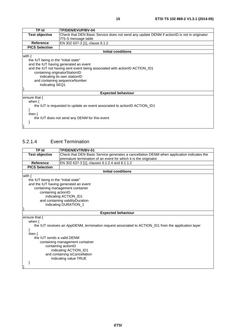<span id="page-14-0"></span>

| TP Id                                                                     | TP/DEN/EVUP/BV-04                                                                           |
|---------------------------------------------------------------------------|---------------------------------------------------------------------------------------------|
| <b>Test objective</b>                                                     | Check that DEN Basic Service does not send any update DENM if actionID is not in originator |
|                                                                           | <b>ITS-S message table</b>                                                                  |
| <b>Reference</b>                                                          | EN 302 637-3 [1], clause 8.1.2                                                              |
| <b>PICS Selection</b>                                                     |                                                                                             |
|                                                                           | <b>Initial conditions</b>                                                                   |
| with $\{$                                                                 |                                                                                             |
| the IUT being in the "initial state"                                      |                                                                                             |
|                                                                           | and the IUT having generated an event                                                       |
|                                                                           | and the IUT not having sent event being associated with actionID ACTION_ID1                 |
| containing originatorStationID                                            |                                                                                             |
|                                                                           | indicating its own stationID                                                                |
| and containing sequenceNumber                                             |                                                                                             |
|                                                                           |                                                                                             |
| indicating SEQ1                                                           |                                                                                             |
|                                                                           | <b>Expected behaviour</b>                                                                   |
| ensure that $\{$                                                          |                                                                                             |
| when $\{$                                                                 |                                                                                             |
|                                                                           |                                                                                             |
| the IUT is requested to update an event associated to actionID ACTION ID1 |                                                                                             |
|                                                                           |                                                                                             |
| then $\{$                                                                 |                                                                                             |
| the IUT does not send any DENM for this event                             |                                                                                             |
|                                                                           |                                                                                             |
|                                                                           |                                                                                             |

### 5.2.1.4 Event Termination

| TP Id                                 | TP/DEN/EVTR/BV-01                                                                                   |  |
|---------------------------------------|-----------------------------------------------------------------------------------------------------|--|
| <b>Test objective</b>                 | Check that DEN Basic Service generates a cancellation DENM when application indicates the           |  |
|                                       | premature termination of an event for which it is the originator                                    |  |
| <b>Reference</b>                      | EN 302 637-3 [1], clauses 6.1.2.4 and 8.1.1.2                                                       |  |
| <b>PICS Selection</b>                 |                                                                                                     |  |
|                                       | <b>Initial conditions</b>                                                                           |  |
| with $\{$                             |                                                                                                     |  |
|                                       | the IUT being in the "initial state"                                                                |  |
| and the IUT having generated an event |                                                                                                     |  |
| containing management container       |                                                                                                     |  |
| containing actionID                   |                                                                                                     |  |
|                                       | indicating ACTION_ID1                                                                               |  |
| and containing validity Duration      |                                                                                                     |  |
|                                       | indicating DURATION_1                                                                               |  |
|                                       |                                                                                                     |  |
| <b>Expected behaviour</b>             |                                                                                                     |  |
| ensure that $\{$                      |                                                                                                     |  |
| when $\{$                             |                                                                                                     |  |
|                                       | the IUT receives an AppDENM_termination request associated to ACTION_ID1 from the application layer |  |
|                                       |                                                                                                     |  |
| then $\{$                             |                                                                                                     |  |
| the IUT sends a valid DENM            |                                                                                                     |  |
| containing management container       |                                                                                                     |  |
| containing actionID                   |                                                                                                     |  |
| indicating ACTION_ID1                 |                                                                                                     |  |
| and containing is Cancellation        |                                                                                                     |  |
|                                       | indicating value TRUE                                                                               |  |
|                                       |                                                                                                     |  |
|                                       |                                                                                                     |  |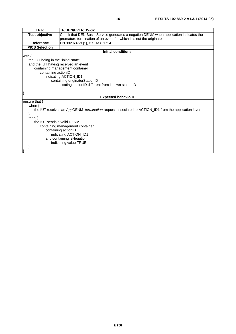| TP Id                                                                                               | TP/DEN/EVTR/BV-02                                                                     |  |
|-----------------------------------------------------------------------------------------------------|---------------------------------------------------------------------------------------|--|
| <b>Test objective</b>                                                                               | Check that DEN Basic Service generates a negation DENM when application indicates the |  |
|                                                                                                     | premature termination of an event for which it is not the originator                  |  |
| <b>Reference</b>                                                                                    | EN 302 637-3 [1], clause 6.1.2.4                                                      |  |
| <b>PICS Selection</b>                                                                               |                                                                                       |  |
|                                                                                                     | Initial conditions                                                                    |  |
| with $\{$                                                                                           |                                                                                       |  |
| the IUT being in the "initial state"                                                                |                                                                                       |  |
| and the IUT having received an event                                                                |                                                                                       |  |
|                                                                                                     | containing management container                                                       |  |
| containing actionID                                                                                 |                                                                                       |  |
|                                                                                                     | indicating ACTION_ID1                                                                 |  |
| containing originatorStationID                                                                      |                                                                                       |  |
| indicating stationID different from its own stationID                                               |                                                                                       |  |
|                                                                                                     |                                                                                       |  |
|                                                                                                     |                                                                                       |  |
|                                                                                                     | <b>Expected behaviour</b>                                                             |  |
| ensure that $\{$                                                                                    |                                                                                       |  |
| when $\{$                                                                                           |                                                                                       |  |
| the IUT receives an AppDENM_termination request associated to ACTION_ID1 from the application layer |                                                                                       |  |
|                                                                                                     |                                                                                       |  |
| then $\{$                                                                                           |                                                                                       |  |
| the IUT sends a valid DENM                                                                          |                                                                                       |  |
| containing management container                                                                     |                                                                                       |  |
| containing actionID                                                                                 |                                                                                       |  |
| indicating ACTION_ID1                                                                               |                                                                                       |  |
| and containing isNegation                                                                           |                                                                                       |  |
|                                                                                                     | indicating value TRUE                                                                 |  |
|                                                                                                     |                                                                                       |  |
|                                                                                                     |                                                                                       |  |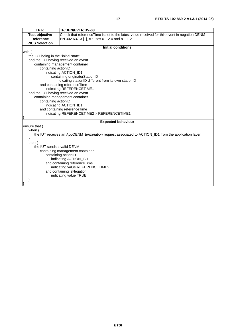| TP Id                                                  | TP/DEN/EVTR/BV-03                                                                                                |  |
|--------------------------------------------------------|------------------------------------------------------------------------------------------------------------------|--|
| <b>Test objective</b>                                  | Check that referenceTime is set to the latest value received for this event in negation DENM                     |  |
| <b>Reference</b>                                       | EN 302 637-3 [1], clauses 6.1.2.4 and 8.1.1.2                                                                    |  |
| <b>PICS Selection</b>                                  |                                                                                                                  |  |
|                                                        | <b>Initial conditions</b>                                                                                        |  |
| with $\{$                                              |                                                                                                                  |  |
| the IUT being in the "initial state"                   |                                                                                                                  |  |
| and the IUT having received an event                   |                                                                                                                  |  |
|                                                        | containing management container                                                                                  |  |
| containing actionID                                    |                                                                                                                  |  |
|                                                        | indicating ACTION_ID1                                                                                            |  |
|                                                        | containing originatorStationID                                                                                   |  |
|                                                        | indicating stationID different from its own stationID                                                            |  |
|                                                        | and containing referenceTime                                                                                     |  |
|                                                        | indicating REFERENCETIME1                                                                                        |  |
|                                                        | and the IUT having received an event                                                                             |  |
|                                                        | containing management container                                                                                  |  |
| containing actionID                                    |                                                                                                                  |  |
|                                                        | indicating ACTION_ID1                                                                                            |  |
|                                                        | and containing referenceTime                                                                                     |  |
|                                                        | indicating REFERENCETIME2 > REFERENCETIME1                                                                       |  |
|                                                        |                                                                                                                  |  |
|                                                        | <b>Expected behaviour</b>                                                                                        |  |
| ensure that {                                          |                                                                                                                  |  |
|                                                        | when $\{$<br>the IUT receives an AppDENM_termination request associated to ACTION_ID1 from the application layer |  |
|                                                        |                                                                                                                  |  |
| ł<br>then $\{$                                         |                                                                                                                  |  |
|                                                        | the IUT sends a valid DENM                                                                                       |  |
|                                                        |                                                                                                                  |  |
| containing management container<br>containing actionID |                                                                                                                  |  |
| indicating ACTION_ID1                                  |                                                                                                                  |  |
| and containing referenceTime                           |                                                                                                                  |  |
| indicating value REFERENCETIME2                        |                                                                                                                  |  |
| and containing isNegation                              |                                                                                                                  |  |
|                                                        | indicating value TRUE                                                                                            |  |
|                                                        |                                                                                                                  |  |
|                                                        |                                                                                                                  |  |
|                                                        |                                                                                                                  |  |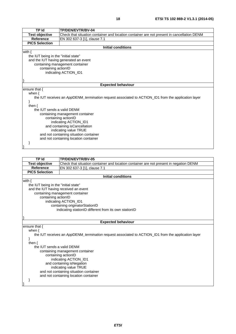| <b>TP Id</b>                          | TP/DEN/EVTR/BV-04                                                                                   |  |  |
|---------------------------------------|-----------------------------------------------------------------------------------------------------|--|--|
| <b>Test objective</b>                 | Check that situation container and location container are not present in cancellation DENM          |  |  |
| <b>Reference</b>                      | EN 302 637-3 [1], clause 7.1                                                                        |  |  |
| <b>PICS Selection</b>                 |                                                                                                     |  |  |
|                                       | <b>Initial conditions</b>                                                                           |  |  |
| with $\{$                             |                                                                                                     |  |  |
| the IUT being in the "initial state"  |                                                                                                     |  |  |
|                                       | and the IUT having generated an event                                                               |  |  |
|                                       | containing management container                                                                     |  |  |
| containing actionID                   |                                                                                                     |  |  |
|                                       | indicating ACTION_ID1                                                                               |  |  |
|                                       |                                                                                                     |  |  |
|                                       |                                                                                                     |  |  |
|                                       | <b>Expected behaviour</b>                                                                           |  |  |
| ensure that {                         |                                                                                                     |  |  |
| when $\{$                             |                                                                                                     |  |  |
|                                       | the IUT receives an AppDENM_termination request associated to ACTION_ID1 from the application layer |  |  |
|                                       |                                                                                                     |  |  |
|                                       | then $\{$                                                                                           |  |  |
|                                       | the IUT sends a valid DENM                                                                          |  |  |
| containing management container       |                                                                                                     |  |  |
| containing actionID                   |                                                                                                     |  |  |
| indicating ACTION_ID1                 |                                                                                                     |  |  |
| and containing isCancellation         |                                                                                                     |  |  |
|                                       | indicating value TRUE                                                                               |  |  |
|                                       | and not containing situation container                                                              |  |  |
| and not containing location container |                                                                                                     |  |  |
|                                       |                                                                                                     |  |  |

| TP Id                                | TP/DEN/EVTR/BV-05                                                                      |  |
|--------------------------------------|----------------------------------------------------------------------------------------|--|
| <b>Test objective</b>                | Check that situation container and location container are not present in negation DENM |  |
| Reference                            | EN 302 637-3 [1], clause 7.1                                                           |  |
| <b>PICS Selection</b>                |                                                                                        |  |
|                                      | <b>Initial conditions</b>                                                              |  |
| with {                               |                                                                                        |  |
| the IUT being in the "initial state" |                                                                                        |  |
|                                      | and the IUT having received an event                                                   |  |
|                                      | containing management container                                                        |  |
| containing actionID                  |                                                                                        |  |
|                                      | indicating ACTION_ID1                                                                  |  |
|                                      | containing originatorStationID                                                         |  |
|                                      | indicating stationID different from its own stationID                                  |  |
|                                      |                                                                                        |  |
|                                      |                                                                                        |  |
| <b>Expected behaviour</b>            |                                                                                        |  |
| lensure that {                       |                                                                                        |  |

sure tnat <sub>{</sub> when {

}

 $\vert$ 

 the IUT receives an *App*DENM*\_termination* request associated to ACTION\_ID1 from the application layer then { the IUT sends a valid DENM

 containing management container containing actionID indicating ACTION\_ID1 and containing isNegation indicating value TRUE and not containing situation container and not containing location container

#### } }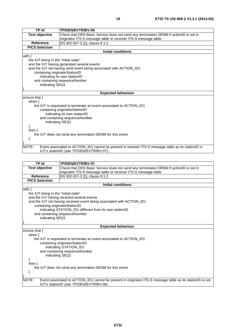| <b>TP Id</b>                                              | TP/DEN/EVTR/BV-06                                                                                                                                |  |
|-----------------------------------------------------------|--------------------------------------------------------------------------------------------------------------------------------------------------|--|
| <b>Test objective</b>                                     | Check that DEN Basic Service does not send any termination DENM if actionID is not in                                                            |  |
|                                                           | originator ITS-S message table or receiver ITS-S message table                                                                                   |  |
| Reference                                                 | EN 302 637-3 [1], clause 8.1.2                                                                                                                   |  |
| <b>PICS Selection</b>                                     |                                                                                                                                                  |  |
|                                                           | <b>Initial conditions</b>                                                                                                                        |  |
| with $\{$                                                 |                                                                                                                                                  |  |
| the IUT being in the "initial state"                      |                                                                                                                                                  |  |
|                                                           | and the IUT having generated several events                                                                                                      |  |
|                                                           | and the IUT not having send event being associated with ACTION_ID1                                                                               |  |
| containing originatorStationID                            |                                                                                                                                                  |  |
|                                                           | indicating its own stationID                                                                                                                     |  |
|                                                           | and containing sequenceNumber                                                                                                                    |  |
|                                                           | indicating SEQ1                                                                                                                                  |  |
|                                                           | <b>Expected behaviour</b>                                                                                                                        |  |
|                                                           |                                                                                                                                                  |  |
| ensure that $\{$                                          |                                                                                                                                                  |  |
| when $\{$                                                 |                                                                                                                                                  |  |
|                                                           | the IUT is requested to terminate an event associated to ACTION_ID1                                                                              |  |
|                                                           | containing originatorStationID<br>indicating its own stationID                                                                                   |  |
|                                                           | and containing sequenceNumber                                                                                                                    |  |
|                                                           | indicating SEQ1                                                                                                                                  |  |
|                                                           |                                                                                                                                                  |  |
| then $\{$                                                 |                                                                                                                                                  |  |
| the IUT does not send any termination DENM for this event |                                                                                                                                                  |  |
|                                                           |                                                                                                                                                  |  |
|                                                           |                                                                                                                                                  |  |
| NOTE:                                                     | Event associated to ACTION_ID1 cannot be present in receiver ITS-S message table as its stationID is<br>IUT's stationID (see TP/DEN/EVTR/BV-07). |  |

| <b>TP Id</b>                                              | TP/DEN/EVTR/BV-07                                                                                                                                      |  |
|-----------------------------------------------------------|--------------------------------------------------------------------------------------------------------------------------------------------------------|--|
| <b>Test objective</b>                                     | Check that DEN Basic Service does not send any termination DENM if actionID is not in                                                                  |  |
|                                                           | originator ITS-S message table or receiver ITS-S message table                                                                                         |  |
| Reference                                                 | EN 302 637-3 [1], clause 8.1.2                                                                                                                         |  |
| <b>PICS Selection</b>                                     |                                                                                                                                                        |  |
|                                                           | <b>Initial conditions</b>                                                                                                                              |  |
| with $\{$                                                 |                                                                                                                                                        |  |
| the IUT being in the "initial state"                      |                                                                                                                                                        |  |
|                                                           | and the IUT having received several events                                                                                                             |  |
|                                                           | and the IUT not having received event being associated with ACTION_ID1                                                                                 |  |
| containing originatorStationID                            |                                                                                                                                                        |  |
|                                                           | indicating STATION_ID1 different from its own stationID                                                                                                |  |
|                                                           | and containing sequenceNumber                                                                                                                          |  |
| indicating SEQ1                                           |                                                                                                                                                        |  |
|                                                           |                                                                                                                                                        |  |
|                                                           | <b>Expected behaviour</b>                                                                                                                              |  |
| ensure that {                                             |                                                                                                                                                        |  |
| when $\{$                                                 |                                                                                                                                                        |  |
|                                                           | the IUT is requested to terminate an event associated to ACTION_ID1                                                                                    |  |
|                                                           | containing originatorStationID                                                                                                                         |  |
|                                                           | indicating STATION_ID1                                                                                                                                 |  |
|                                                           | and containing sequenceNumber                                                                                                                          |  |
| indicating SEQ1                                           |                                                                                                                                                        |  |
|                                                           |                                                                                                                                                        |  |
| then $\{$                                                 |                                                                                                                                                        |  |
| the IUT does not send any termination DENM for this event |                                                                                                                                                        |  |
|                                                           |                                                                                                                                                        |  |
|                                                           |                                                                                                                                                        |  |
| NOTE:                                                     | Event associated to ACTION_ID1 cannot be present in originator ITS-S message table as its stationID is not<br>IUT's stationID (see TP/DEN/EVTR/BV-06). |  |
|                                                           |                                                                                                                                                        |  |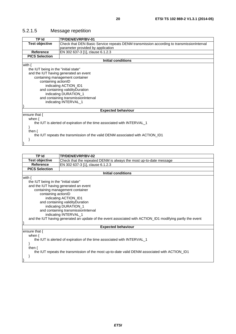### <span id="page-19-0"></span>5.2.1.5 Message repetition

| <b>TP Id</b>                                                                  | TP/DEN/EVRP/BV-01                                                                        |  |
|-------------------------------------------------------------------------------|------------------------------------------------------------------------------------------|--|
| <b>Test objective</b>                                                         | Check that DEN Basic Service repeats DENM transmission according to transmissionInterval |  |
|                                                                               | parameter provided by application                                                        |  |
| Reference                                                                     | EN 302 637-3 [1], clause 6.1.2.3                                                         |  |
| <b>PICS Selection</b>                                                         |                                                                                          |  |
|                                                                               | Initial conditions                                                                       |  |
| with $\{$                                                                     |                                                                                          |  |
| the IUT being in the "initial state"                                          |                                                                                          |  |
|                                                                               | and the IUT having generated an event                                                    |  |
|                                                                               | containing management container                                                          |  |
| containing actionID                                                           |                                                                                          |  |
|                                                                               | indicating ACTION_ID1                                                                    |  |
|                                                                               | and containing validityDuration                                                          |  |
|                                                                               | indicating DURATION_1                                                                    |  |
|                                                                               | and containing transmissionInterval                                                      |  |
| indicating INTERVAL_1                                                         |                                                                                          |  |
|                                                                               |                                                                                          |  |
|                                                                               | <b>Expected behaviour</b>                                                                |  |
| ensure that $\{$                                                              |                                                                                          |  |
| when $\{$                                                                     |                                                                                          |  |
| the IUT is alerted of expiration of the time associated with INTERVAL_1       |                                                                                          |  |
|                                                                               |                                                                                          |  |
| then $\{$                                                                     |                                                                                          |  |
| the IUT repeats the transmission of the valid DENM associated with ACTION_ID1 |                                                                                          |  |
|                                                                               |                                                                                          |  |
|                                                                               |                                                                                          |  |
|                                                                               |                                                                                          |  |

| <b>TP Id</b>                                                                                              | TP/DEN/EVRP/BV-02                                                                             |  |
|-----------------------------------------------------------------------------------------------------------|-----------------------------------------------------------------------------------------------|--|
| <b>Test objective</b>                                                                                     | Check that the repeated DENM is always the most up-to-date message                            |  |
| Reference                                                                                                 | EN 302 637-3 [1], clause 6.1.2.3                                                              |  |
| <b>PICS Selection</b>                                                                                     |                                                                                               |  |
|                                                                                                           | <b>Initial conditions</b>                                                                     |  |
| with $\{$                                                                                                 |                                                                                               |  |
| the IUT being in the "initial state"                                                                      |                                                                                               |  |
|                                                                                                           | and the IUT having generated an event                                                         |  |
|                                                                                                           | containing management container                                                               |  |
| containing actionID                                                                                       |                                                                                               |  |
|                                                                                                           | indicating ACTION_ID1                                                                         |  |
|                                                                                                           | and containing validityDuration                                                               |  |
|                                                                                                           | indicating DURATION_1                                                                         |  |
|                                                                                                           | and containing transmissionInterval                                                           |  |
| indicating INTERVAL 1                                                                                     |                                                                                               |  |
| and the IUT having generated an update of the event associated with ACTION_ID1 modifying partly the event |                                                                                               |  |
|                                                                                                           |                                                                                               |  |
|                                                                                                           | <b>Expected behaviour</b>                                                                     |  |
| ensure that $\{$                                                                                          |                                                                                               |  |
| when $\{$                                                                                                 |                                                                                               |  |
| the IUT is alerted of expiration of the time associated with INTERVAL_1                                   |                                                                                               |  |
|                                                                                                           |                                                                                               |  |
| then $\{$                                                                                                 |                                                                                               |  |
|                                                                                                           | the IUT repeats the transmission of the most up-to-date valid DENM associated with ACTION_ID1 |  |
|                                                                                                           |                                                                                               |  |
|                                                                                                           |                                                                                               |  |

*ETSI*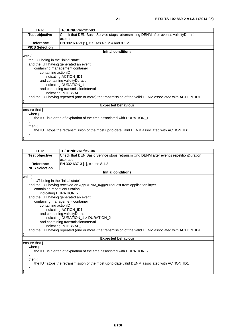| <b>TP Id</b>                                                            | <b>TP/DEN/EVRP/BV-03</b>                                                                                |  |
|-------------------------------------------------------------------------|---------------------------------------------------------------------------------------------------------|--|
| <b>Test objective</b>                                                   | Check that DEN Basic Service stops retransmitting DENM after event's validityDuration                   |  |
|                                                                         | expiration                                                                                              |  |
| Reference                                                               | EN 302 637-3 [1], clauses 6.1.2.4 and 8.1.2                                                             |  |
| <b>PICS Selection</b>                                                   |                                                                                                         |  |
|                                                                         | Initial conditions                                                                                      |  |
| with $\{$                                                               |                                                                                                         |  |
| the IUT being in the "initial state"                                    |                                                                                                         |  |
|                                                                         | and the IUT having generated an event                                                                   |  |
|                                                                         | containing management container                                                                         |  |
| containing actionID                                                     |                                                                                                         |  |
|                                                                         | indicating ACTION_ID1                                                                                   |  |
|                                                                         | and containing validityDuration                                                                         |  |
|                                                                         | indicating DURATION_1                                                                                   |  |
|                                                                         | and containing transmissionInterval                                                                     |  |
|                                                                         | indicating INTERVAL_1                                                                                   |  |
|                                                                         | and the IUT having repeated (one or more) the transmission of the valid DENM associated with ACTION_ID1 |  |
|                                                                         |                                                                                                         |  |
|                                                                         | <b>Expected behaviour</b>                                                                               |  |
| ensure that $\{$                                                        |                                                                                                         |  |
| when $\{$                                                               |                                                                                                         |  |
| the IUT is alerted of expiration of the time associated with DURATION_1 |                                                                                                         |  |
|                                                                         |                                                                                                         |  |
| then $\{$                                                               |                                                                                                         |  |
|                                                                         | the IUT stops the retransmission of the most up-to-date valid DENM associated with ACTION_ID1           |  |
|                                                                         |                                                                                                         |  |
|                                                                         |                                                                                                         |  |

| TP Id                                                                                                   | TP/DEN/EVRP/BV-04                                                                             |  |
|---------------------------------------------------------------------------------------------------------|-----------------------------------------------------------------------------------------------|--|
| <b>Test objective</b>                                                                                   | Check that DEN Basic Service stops retransmitting DENM after event's repetitionDuration       |  |
|                                                                                                         | expiration                                                                                    |  |
| <b>Reference</b>                                                                                        | EN 302 637-3 [1], clause 8.1.2                                                                |  |
| <b>PICS Selection</b>                                                                                   |                                                                                               |  |
|                                                                                                         | <b>Initial conditions</b>                                                                     |  |
| with $\{$                                                                                               |                                                                                               |  |
| the IUT being in the "initial state"                                                                    |                                                                                               |  |
|                                                                                                         | and the IUT having received an AppDENM_trigger request from application layer                 |  |
| containing repetitionDuration                                                                           |                                                                                               |  |
| indicating DURATION_2                                                                                   |                                                                                               |  |
|                                                                                                         | and the IUT having generated an event                                                         |  |
|                                                                                                         | containing management container                                                               |  |
|                                                                                                         | containing actionID                                                                           |  |
|                                                                                                         | indicating ACTION ID1                                                                         |  |
|                                                                                                         | and containing validityDuration                                                               |  |
|                                                                                                         | indicating DURATION_1 > DURATION_2                                                            |  |
|                                                                                                         | and containing transmissionInterval                                                           |  |
|                                                                                                         | indicating INTERVAL_1                                                                         |  |
| and the IUT having repeated (one or more) the transmission of the valid DENM associated with ACTION_ID1 |                                                                                               |  |
|                                                                                                         |                                                                                               |  |
|                                                                                                         | <b>Expected behaviour</b>                                                                     |  |
| ensure that $\{$                                                                                        |                                                                                               |  |
| when $\{$                                                                                               |                                                                                               |  |
|                                                                                                         | the IUT is alerted of expiration of the time associated with DURATION_2                       |  |
|                                                                                                         |                                                                                               |  |
| then $\{$                                                                                               |                                                                                               |  |
|                                                                                                         | the IUT stops the retransmission of the most up-to-date valid DENM associated with ACTION_ID1 |  |
| ł                                                                                                       |                                                                                               |  |
|                                                                                                         |                                                                                               |  |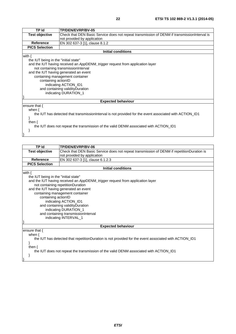| TP Id                                                                    | TP/DEN/EVRP/BV-05                                                                                                                                                                                                                                                                      |
|--------------------------------------------------------------------------|----------------------------------------------------------------------------------------------------------------------------------------------------------------------------------------------------------------------------------------------------------------------------------------|
| <b>Test objective</b>                                                    | Check that DEN Basic Service does not repeat transmission of DENM if transmission Interval is                                                                                                                                                                                          |
|                                                                          | not provided by application                                                                                                                                                                                                                                                            |
| Reference                                                                | EN 302 637-3 [1], clause 8.1.2                                                                                                                                                                                                                                                         |
| <b>PICS Selection</b>                                                    |                                                                                                                                                                                                                                                                                        |
|                                                                          | <b>Initial conditions</b>                                                                                                                                                                                                                                                              |
| with $\{$<br>the IUT being in the "initial state"<br>containing actionID | and the IUT having received an AppDENM_trigger request from application layer<br>not containing transmissionInterval<br>and the IUT having generated an event<br>containing management container<br>indicating ACTION ID1<br>and containing validity Duration<br>indicating DURATION_1 |
|                                                                          | <b>Expected behaviour</b>                                                                                                                                                                                                                                                              |
| ensure that $\{$<br>when $\{$<br>then $\{$                               | the IUT has detected that transmission interval is not provided for the event associated with ACTION_ID1<br>the IUT does not repeat the transmission of the valid DENM associated with ACTION_ID1                                                                                      |

}

| <b>TP Id</b>                                                                                          | TP/DEN/EVRP/BV-06                                                                          |  |
|-------------------------------------------------------------------------------------------------------|--------------------------------------------------------------------------------------------|--|
| <b>Test objective</b>                                                                                 | Check that DEN Basic Service does not repeat transmission of DENM if repetitionDuration is |  |
|                                                                                                       | not provided by application                                                                |  |
| Reference                                                                                             | EN 302 637-3 [1], clause 6.1.2.3                                                           |  |
| <b>PICS Selection</b>                                                                                 |                                                                                            |  |
|                                                                                                       | <b>Initial conditions</b>                                                                  |  |
| with $\{$                                                                                             |                                                                                            |  |
| the IUT being in the "initial state"                                                                  |                                                                                            |  |
|                                                                                                       | and the IUT having received an AppDENM_trigger request from application layer              |  |
|                                                                                                       | not containing repetitionDuration                                                          |  |
|                                                                                                       | and the IUT having generated an event                                                      |  |
|                                                                                                       | containing management container                                                            |  |
| containing actionID                                                                                   |                                                                                            |  |
|                                                                                                       | indicating ACTION_ID1                                                                      |  |
|                                                                                                       | and containing validityDuration                                                            |  |
|                                                                                                       | indicating DURATION_1                                                                      |  |
|                                                                                                       | and containing transmissionInterval                                                        |  |
|                                                                                                       | indicating INTERVAL_1                                                                      |  |
|                                                                                                       |                                                                                            |  |
|                                                                                                       | <b>Expected behaviour</b>                                                                  |  |
| ensure that {                                                                                         |                                                                                            |  |
| when $\{$                                                                                             |                                                                                            |  |
| the IUT has detected that repetitionDuration is not provided for the event associated with ACTION_ID1 |                                                                                            |  |
|                                                                                                       |                                                                                            |  |
|                                                                                                       | then $\{$                                                                                  |  |
| the IUT does not repeat the transmission of the valid DENM associated with ACTION ID1                 |                                                                                            |  |
|                                                                                                       |                                                                                            |  |
|                                                                                                       |                                                                                            |  |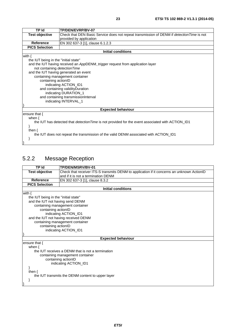<span id="page-22-0"></span>

| <b>TP Id</b>                         | TP/DEN/EVRP/BV-07                                                                                        |  |
|--------------------------------------|----------------------------------------------------------------------------------------------------------|--|
| <b>Test objective</b>                | Check that DEN Basic Service does not repeat transmission of DENM if <i>detectionTime</i> is not         |  |
|                                      | provided by application                                                                                  |  |
| <b>Reference</b>                     | EN 302 637-3 [1], clause 6.1.2.3                                                                         |  |
| <b>PICS Selection</b>                |                                                                                                          |  |
|                                      | <b>Initial conditions</b>                                                                                |  |
| with $\{$                            |                                                                                                          |  |
| the IUT being in the "initial state" |                                                                                                          |  |
|                                      | and the IUT having received an AppDENM_trigger request from application layer                            |  |
| not containing detection Time        |                                                                                                          |  |
|                                      | and the IUT having generated an event                                                                    |  |
|                                      | containing management container                                                                          |  |
|                                      | containing actionID                                                                                      |  |
|                                      | indicating ACTION_ID1                                                                                    |  |
|                                      | and containing validityDuration                                                                          |  |
|                                      | indicating DURATION_1                                                                                    |  |
| and containing transmissionInterval  |                                                                                                          |  |
|                                      | indicating INTERVAL_1                                                                                    |  |
|                                      | <b>Expected behaviour</b>                                                                                |  |
| ensure that $\{$                     |                                                                                                          |  |
| when $\{$                            |                                                                                                          |  |
|                                      | the IUT has detected that <i>detection Time</i> is not provided for the event associated with ACTION ID1 |  |
|                                      |                                                                                                          |  |
| then $\{$                            |                                                                                                          |  |
|                                      | the IUT does not repeat the transmission of the valid DENM associated with ACTION_ID1                    |  |

# 5.2.2 Message Reception

 } }

| <b>TP Id</b>                                           | TP/DEN/MSRV/BV-01                                                                          |  |
|--------------------------------------------------------|--------------------------------------------------------------------------------------------|--|
| <b>Test objective</b>                                  | Check that receiver ITS-S transmits DENM to application if it concerns an unknown ActionID |  |
|                                                        | and if it is not a termination DENM                                                        |  |
| Reference                                              | EN 302 637-3 [1], clause 8.3.2                                                             |  |
| <b>PICS Selection</b>                                  |                                                                                            |  |
|                                                        | <b>Initial conditions</b>                                                                  |  |
| with $\{$                                              |                                                                                            |  |
| the IUT being in the "initial state"                   |                                                                                            |  |
| and the IUT not having send DENM                       |                                                                                            |  |
|                                                        | containing management container                                                            |  |
| containing actionID                                    |                                                                                            |  |
|                                                        | indicating ACTION_ID1                                                                      |  |
|                                                        | and the IUT not having received DENM                                                       |  |
|                                                        | containing management container                                                            |  |
| containing actionID                                    |                                                                                            |  |
|                                                        | indicating ACTION_ID1                                                                      |  |
|                                                        |                                                                                            |  |
|                                                        | <b>Expected behaviour</b>                                                                  |  |
| ensure that {                                          |                                                                                            |  |
|                                                        | when $\{$                                                                                  |  |
| the IUT receives a DENM that is not a termination      |                                                                                            |  |
| containing management container<br>containing actionID |                                                                                            |  |
| indicating ACTION_ID1                                  |                                                                                            |  |
|                                                        |                                                                                            |  |
| then $\{$                                              |                                                                                            |  |
| the IUT transmits the DENM content to upper layer      |                                                                                            |  |
|                                                        |                                                                                            |  |
|                                                        |                                                                                            |  |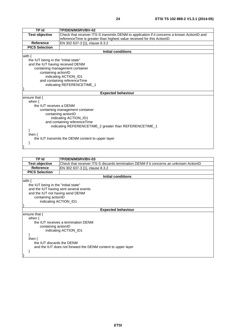| <b>TP Id</b>                                      | TP/DEN/MSRV/BV-02                                                                           |  |  |
|---------------------------------------------------|---------------------------------------------------------------------------------------------|--|--|
| <b>Test objective</b>                             | Check that receiver ITS-S transmits DENM to application if it concerns a known ActionID and |  |  |
|                                                   | referenceTime is greater than highest value received for this ActionID                      |  |  |
| Reference                                         | EN 302 637-3 [1], clause 8.3.2                                                              |  |  |
| <b>PICS Selection</b>                             |                                                                                             |  |  |
|                                                   | <b>Initial conditions</b>                                                                   |  |  |
| with $\{$                                         |                                                                                             |  |  |
| the IUT being in the "initial state"              |                                                                                             |  |  |
| and the IUT having received DENM                  |                                                                                             |  |  |
|                                                   | containing management container                                                             |  |  |
| containing actionID                               |                                                                                             |  |  |
|                                                   | indicating ACTION_ID1                                                                       |  |  |
|                                                   | and containing referenceTime                                                                |  |  |
|                                                   | indicating REFERENCETIME_1                                                                  |  |  |
|                                                   |                                                                                             |  |  |
|                                                   | <b>Expected behaviour</b>                                                                   |  |  |
| ensure that $\{$                                  |                                                                                             |  |  |
| when $\{$                                         |                                                                                             |  |  |
| the IUT receives a DENM                           |                                                                                             |  |  |
| containing management container                   |                                                                                             |  |  |
| containing actionID                               |                                                                                             |  |  |
| indicating ACTION_ID1                             |                                                                                             |  |  |
| and containing referenceTime                      |                                                                                             |  |  |
|                                                   | indicating REFERENCETIME_2 greater than REFERENCETIME_1                                     |  |  |
|                                                   |                                                                                             |  |  |
| then $\{$                                         |                                                                                             |  |  |
| the IUT transmits the DENM content to upper layer |                                                                                             |  |  |
|                                                   |                                                                                             |  |  |
|                                                   |                                                                                             |  |  |

| <b>TP Id</b>                                                 | TP/DEN/MSRV/BV-03                                                                      |  |  |
|--------------------------------------------------------------|----------------------------------------------------------------------------------------|--|--|
| <b>Test objective</b>                                        | Check that receiver ITS-S discards termination DENM if it concerns an unknown ActionID |  |  |
| Reference                                                    | EN 302 637-3 [1], clause 8.3.2                                                         |  |  |
| <b>PICS Selection</b>                                        |                                                                                        |  |  |
|                                                              | <b>Initial conditions</b>                                                              |  |  |
| with $\{$                                                    |                                                                                        |  |  |
| the IUT being in the "initial state"                         |                                                                                        |  |  |
|                                                              | and the IUT having sent several events                                                 |  |  |
| and the IUT not having send DENM                             |                                                                                        |  |  |
|                                                              | containing actionID                                                                    |  |  |
|                                                              | indicating ACTION_ID1                                                                  |  |  |
|                                                              |                                                                                        |  |  |
|                                                              | <b>Expected behaviour</b>                                                              |  |  |
| ensure that $\{$                                             |                                                                                        |  |  |
| when $\{$                                                    |                                                                                        |  |  |
| the IUT receives a termination DENM                          |                                                                                        |  |  |
| containing actionID                                          |                                                                                        |  |  |
| indicating ACTION_ID1                                        |                                                                                        |  |  |
|                                                              |                                                                                        |  |  |
| then $\{$                                                    |                                                                                        |  |  |
| the IUT discards the DENM                                    |                                                                                        |  |  |
| and the IUT does not forward the DENM content to upper layer |                                                                                        |  |  |
|                                                              |                                                                                        |  |  |
|                                                              |                                                                                        |  |  |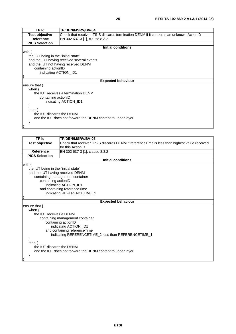| <b>TP Id</b>              | <b>TP/DEN/MSRV/BV-04</b>                                                               |  |  |
|---------------------------|----------------------------------------------------------------------------------------|--|--|
| <b>Test objective</b>     | Check that receiver ITS-S discards termination DENM if it concerns an unknown ActionID |  |  |
| <b>Reference</b>          | EN 302 637-3 [1], clause 8.3.2                                                         |  |  |
| <b>PICS Selection</b>     |                                                                                        |  |  |
|                           | <b>Initial conditions</b>                                                              |  |  |
| with {                    |                                                                                        |  |  |
|                           | the IUT being in the "initial state"                                                   |  |  |
|                           | and the IUT having received several events                                             |  |  |
|                           | and the IUT not having received DENM                                                   |  |  |
|                           | containing actionID                                                                    |  |  |
| indicating ACTION ID1     |                                                                                        |  |  |
|                           |                                                                                        |  |  |
| <b>Expected behaviour</b> |                                                                                        |  |  |
| ensure that $\{$          |                                                                                        |  |  |
| when $\{$                 |                                                                                        |  |  |
|                           | the IUT receives a termination DENM                                                    |  |  |
| containing actionID       |                                                                                        |  |  |
| indicating ACTION ID1     |                                                                                        |  |  |
|                           |                                                                                        |  |  |
| then $\{$                 |                                                                                        |  |  |
| the IUT discards the DENM |                                                                                        |  |  |
|                           | and the IUT does not forward the DENM content to upper layer                           |  |  |
|                           |                                                                                        |  |  |
|                           |                                                                                        |  |  |

| <b>TP Id</b>                                                 | TP/DEN/MSRV/BV-05                                                                             |  |  |
|--------------------------------------------------------------|-----------------------------------------------------------------------------------------------|--|--|
| <b>Test objective</b>                                        | Check that receiver ITS-S discards DENM if reference Time is less than highest value received |  |  |
|                                                              | for this ActionID                                                                             |  |  |
| <b>Reference</b>                                             | EN 302 637-3 [1], clause 8.3.2                                                                |  |  |
| <b>PICS Selection</b>                                        |                                                                                               |  |  |
|                                                              | <b>Initial conditions</b>                                                                     |  |  |
| with $\{$                                                    |                                                                                               |  |  |
| the IUT being in the "initial state"                         |                                                                                               |  |  |
| and the IUT having received DENM                             |                                                                                               |  |  |
|                                                              | containing management container                                                               |  |  |
| containing actionID                                          |                                                                                               |  |  |
|                                                              | indicating ACTION_ID1                                                                         |  |  |
|                                                              | and containing referenceTime                                                                  |  |  |
|                                                              | indicating REFERENCETIME_1                                                                    |  |  |
|                                                              |                                                                                               |  |  |
|                                                              | <b>Expected behaviour</b>                                                                     |  |  |
| ensure that {<br>when $\{$                                   |                                                                                               |  |  |
| the IUT receives a DENM                                      |                                                                                               |  |  |
|                                                              | containing management container                                                               |  |  |
|                                                              |                                                                                               |  |  |
| containing actionID<br>indicating ACTION_ID1                 |                                                                                               |  |  |
| and containing referenceTime                                 |                                                                                               |  |  |
| indicating REFERENCETIME_2 less than REFERENCETIME_1         |                                                                                               |  |  |
|                                                              |                                                                                               |  |  |
| then $\{$                                                    |                                                                                               |  |  |
| the IUT discards the DENM                                    |                                                                                               |  |  |
| and the IUT does not forward the DENM content to upper layer |                                                                                               |  |  |
|                                                              |                                                                                               |  |  |
|                                                              |                                                                                               |  |  |
|                                                              |                                                                                               |  |  |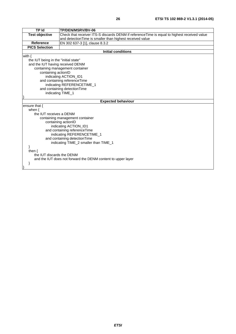| TP Id                                | TP/DEN/MSRV/BV-06                                                                           |  |  |
|--------------------------------------|---------------------------------------------------------------------------------------------|--|--|
| <b>Test objective</b>                | Check that receiver ITS-S discards DENM if referenceTime is equal to highest received value |  |  |
|                                      | and detection Time is smaller than highest received value                                   |  |  |
| Reference                            | EN 302 637-3 [1], clause 8.3.2                                                              |  |  |
| <b>PICS Selection</b>                |                                                                                             |  |  |
|                                      | <b>Initial conditions</b>                                                                   |  |  |
| with $\{$                            |                                                                                             |  |  |
| the IUT being in the "initial state" |                                                                                             |  |  |
| and the IUT having received DENM     |                                                                                             |  |  |
|                                      | containing management container                                                             |  |  |
| containing actionID                  |                                                                                             |  |  |
|                                      | indicating ACTION_ID1                                                                       |  |  |
|                                      | and containing referenceTime                                                                |  |  |
|                                      | indicating REFERENCETIME_1                                                                  |  |  |
| and containing detection Time        |                                                                                             |  |  |
| indicating TIME_1                    |                                                                                             |  |  |
|                                      | <b>Expected behaviour</b>                                                                   |  |  |
| ensure that {                        |                                                                                             |  |  |
| when $\{$                            |                                                                                             |  |  |
| the IUT receives a DENM              |                                                                                             |  |  |
|                                      | containing management container                                                             |  |  |
|                                      | containing actionID                                                                         |  |  |
|                                      | indicating ACTION_ID1                                                                       |  |  |
| and containing referenceTime         |                                                                                             |  |  |
| indicating REFERENCETIME_1           |                                                                                             |  |  |
| and containing detectionTime         |                                                                                             |  |  |
|                                      | indicating TIME_2 smaller than TIME_1                                                       |  |  |
|                                      |                                                                                             |  |  |
| then $\{$                            |                                                                                             |  |  |
| the IUT discards the DENM            |                                                                                             |  |  |
|                                      | and the IUT does not forward the DENM content to upper layer                                |  |  |
|                                      |                                                                                             |  |  |
|                                      |                                                                                             |  |  |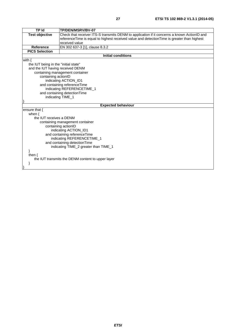| <b>TP Id</b>                          | TP/DEN/MSRV/BV-07                                                                           |  |  |
|---------------------------------------|---------------------------------------------------------------------------------------------|--|--|
| <b>Test objective</b>                 | Check that receiver ITS-S transmits DENM to application if it concerns a known ActionID and |  |  |
|                                       | referenceTime is equal to highest received value and detectionTime is greater than highest  |  |  |
|                                       | received value                                                                              |  |  |
| Reference                             | EN 302 637-3 [1], clause 8.3.2                                                              |  |  |
| <b>PICS Selection</b>                 |                                                                                             |  |  |
|                                       | <b>Initial conditions</b>                                                                   |  |  |
| with $\{$                             |                                                                                             |  |  |
| the IUT being in the "initial state"  |                                                                                             |  |  |
| and the IUT having received DENM      |                                                                                             |  |  |
|                                       | containing management container                                                             |  |  |
| containing actionID                   |                                                                                             |  |  |
|                                       | indicating ACTION_ID1                                                                       |  |  |
|                                       | and containing reference Time                                                               |  |  |
|                                       | indicating REFERENCETIME_1                                                                  |  |  |
|                                       | and containing detection Time                                                               |  |  |
|                                       | indicating TIME_1                                                                           |  |  |
|                                       |                                                                                             |  |  |
|                                       | <b>Expected behaviour</b>                                                                   |  |  |
| ensure that $\{$                      |                                                                                             |  |  |
| when $\{$                             |                                                                                             |  |  |
| the IUT receives a DENM               |                                                                                             |  |  |
|                                       | containing management container                                                             |  |  |
|                                       | containing actionID                                                                         |  |  |
|                                       | indicating ACTION_ID1                                                                       |  |  |
| and containing referenceTime          |                                                                                             |  |  |
| indicating REFERENCETIME_1            |                                                                                             |  |  |
| and containing detection Time         |                                                                                             |  |  |
| indicating TIME_2 greater than TIME_1 |                                                                                             |  |  |
|                                       |                                                                                             |  |  |
| then $\{$                             |                                                                                             |  |  |
|                                       | the IUT transmits the DENM content to upper layer                                           |  |  |
| }                                     |                                                                                             |  |  |
|                                       |                                                                                             |  |  |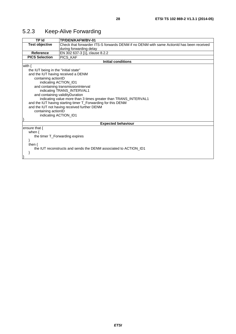<span id="page-27-0"></span>

| 5.2.3 | <b>Keep-Alive Forwarding</b> |
|-------|------------------------------|
|-------|------------------------------|

| <b>TP Id</b>                         | TP/DEN/KAFW/BV-01                                                                        |  |  |
|--------------------------------------|------------------------------------------------------------------------------------------|--|--|
| <b>Test objective</b>                | Check that forwarder ITS-S forwards DENM if no DENM with same ActionId has been received |  |  |
|                                      | during forwarding delay                                                                  |  |  |
| <b>Reference</b>                     | EN 302 637-3 [1], clause 8.2.2                                                           |  |  |
| <b>PICS Selection</b>                | PICS_KAF                                                                                 |  |  |
|                                      | <b>Initial conditions</b>                                                                |  |  |
| with $\{$                            |                                                                                          |  |  |
| the IUT being in the "initial state" |                                                                                          |  |  |
| and the IUT having received a DENM   |                                                                                          |  |  |
| containing actionID                  |                                                                                          |  |  |
| indicating ACTION_ID1                |                                                                                          |  |  |
|                                      | and containing transmissionInterval                                                      |  |  |
|                                      | indicating TRANS_INTERVAL1                                                               |  |  |
| and containing validity Duration     |                                                                                          |  |  |
|                                      | indicating value more than 3 times greater than TRANS_INTERVAL1                          |  |  |
|                                      | and the IUT having starting timer T_Forwarding for this DENM                             |  |  |
|                                      | and the IUT not having received further DENM                                             |  |  |
| containing actionID                  |                                                                                          |  |  |
| indicating ACTION_ID1                |                                                                                          |  |  |
|                                      |                                                                                          |  |  |
| <b>Expected behaviour</b>            |                                                                                          |  |  |
| ensure that $\{$                     |                                                                                          |  |  |
| when $\{$                            |                                                                                          |  |  |
| the timer T_Forwarding expires       |                                                                                          |  |  |
|                                      |                                                                                          |  |  |
| then $\{$                            |                                                                                          |  |  |
|                                      | the IUT reconstructs and sends the DENM associated to ACTION ID1                         |  |  |
|                                      |                                                                                          |  |  |
|                                      |                                                                                          |  |  |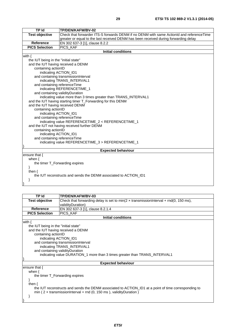| <b>TP Id</b>                                                     | TP/DEN/KAFW/BV-02                                                                        |  |  |
|------------------------------------------------------------------|------------------------------------------------------------------------------------------|--|--|
| <b>Test objective</b>                                            | Check that forwarder ITS-S forwards DENM if no DENM with same ActionId and referenceTime |  |  |
|                                                                  | greater or equal to the last received DENM has been received during forwarding delay     |  |  |
| <b>Reference</b>                                                 | EN 302 637-3 [1], clause 8.2.2                                                           |  |  |
| <b>PICS Selection</b>                                            | PICS_KAF                                                                                 |  |  |
|                                                                  | <b>Initial conditions</b>                                                                |  |  |
| with $\{$                                                        |                                                                                          |  |  |
| the IUT being in the "initial state"                             |                                                                                          |  |  |
| and the IUT having received a DENM                               |                                                                                          |  |  |
| containing actionID                                              |                                                                                          |  |  |
| indicating ACTION_ID1                                            |                                                                                          |  |  |
|                                                                  | and containing transmissionInterval                                                      |  |  |
|                                                                  | indicating TRANS_INTERVAL1                                                               |  |  |
| and containing referenceTime                                     |                                                                                          |  |  |
|                                                                  | indicating REFERENCETIME_1                                                               |  |  |
| and containing validityDuration                                  |                                                                                          |  |  |
|                                                                  | indicating value more than 3 times greater than TRANS_INTERVAL1                          |  |  |
|                                                                  | and the IUT having starting timer T_Forwarding for this DENM                             |  |  |
| and the IUT having received DENM                                 |                                                                                          |  |  |
| containing actionID                                              |                                                                                          |  |  |
| indicating ACTION_ID1                                            |                                                                                          |  |  |
| and containing referenceTime                                     |                                                                                          |  |  |
|                                                                  | indicating value REFERENCETIME_2 < REFERENCETIME_1                                       |  |  |
|                                                                  | and the IUT not having received further DENM                                             |  |  |
|                                                                  | containing actionID                                                                      |  |  |
|                                                                  | indicating ACTION_ID1                                                                    |  |  |
|                                                                  | and containing referenceTime                                                             |  |  |
|                                                                  | indicating value REFERENCETIME_3 > REFERENCETIME_1                                       |  |  |
|                                                                  |                                                                                          |  |  |
| <b>Expected behaviour</b>                                        |                                                                                          |  |  |
| ensure that {                                                    |                                                                                          |  |  |
| when $\{$                                                        |                                                                                          |  |  |
| the timer T_Forwarding expires                                   |                                                                                          |  |  |
|                                                                  |                                                                                          |  |  |
| then $\{$                                                        |                                                                                          |  |  |
| the IUT reconstructs and sends the DENM associated to ACTION_ID1 |                                                                                          |  |  |
| ł                                                                |                                                                                          |  |  |
|                                                                  |                                                                                          |  |  |
|                                                                  |                                                                                          |  |  |

| <b>TP Id</b>                                                                                         | TP/DEN/KAFW/BV-03                                                                            |  |  |  |
|------------------------------------------------------------------------------------------------------|----------------------------------------------------------------------------------------------|--|--|--|
| <b>Test objective</b>                                                                                | Check that forwarding delay is set to min( $2 \times$ transmissionInterval + rnd(0, 150 ms), |  |  |  |
|                                                                                                      | validityDuration)                                                                            |  |  |  |
| Reference                                                                                            | EN 302 637-3 [1], clause 8.2.1.4                                                             |  |  |  |
| <b>PICS Selection</b>                                                                                | PICS KAF                                                                                     |  |  |  |
|                                                                                                      | <b>Initial conditions</b>                                                                    |  |  |  |
| with $\{$                                                                                            |                                                                                              |  |  |  |
| the IUT being in the "initial state"                                                                 |                                                                                              |  |  |  |
| and the IUT having received a DENM                                                                   |                                                                                              |  |  |  |
| containing actionID                                                                                  |                                                                                              |  |  |  |
| indicating ACTION_ID1                                                                                |                                                                                              |  |  |  |
|                                                                                                      | and containing transmissionInterval                                                          |  |  |  |
|                                                                                                      | indicating TRANS INTERVAL1                                                                   |  |  |  |
| and containing validityDuration                                                                      |                                                                                              |  |  |  |
|                                                                                                      | indicating value DURATION_1 more than 3 times greater than TRANS_INTERVAL1                   |  |  |  |
|                                                                                                      |                                                                                              |  |  |  |
| <b>Expected behaviour</b>                                                                            |                                                                                              |  |  |  |
| ensure that $\{$                                                                                     |                                                                                              |  |  |  |
| when $\{$                                                                                            |                                                                                              |  |  |  |
| the timer T_Forwarding expires                                                                       |                                                                                              |  |  |  |
| ł                                                                                                    |                                                                                              |  |  |  |
| then $\{$                                                                                            |                                                                                              |  |  |  |
| the IUT reconstructs and sends the DENM associated to ACTION_ID1 at a point of time corresponding to |                                                                                              |  |  |  |
|                                                                                                      | min ( $2 \times$ transmission Interval + rnd (0, 150 ms), validity Duration)                 |  |  |  |
|                                                                                                      |                                                                                              |  |  |  |
|                                                                                                      |                                                                                              |  |  |  |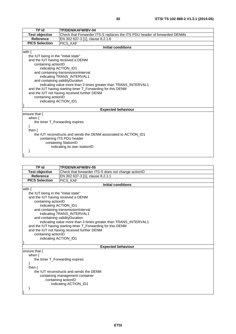| <b>TP Id</b>                                                     | TP/DEN/KAFW/BV-04                                                         |  |  |
|------------------------------------------------------------------|---------------------------------------------------------------------------|--|--|
| <b>Test objective</b>                                            | Check that Forwarder ITS-S replaces the ITS PDU header of forwarded DENMs |  |  |
| Reference                                                        | EN 302 637-3 [1], clause 8.2.1.6                                          |  |  |
| <b>PICS Selection</b>                                            | PICS_KAF                                                                  |  |  |
|                                                                  | <b>Initial conditions</b>                                                 |  |  |
| with $\{$                                                        |                                                                           |  |  |
| the IUT being in the "initial state"                             |                                                                           |  |  |
| and the IUT having received a DENM                               |                                                                           |  |  |
| containing actionID                                              |                                                                           |  |  |
| indicating ACTION_ID1                                            |                                                                           |  |  |
|                                                                  | and containing transmissionInterval                                       |  |  |
|                                                                  | indicating TRANS_INTERVAL1                                                |  |  |
| and containing validity Duration                                 |                                                                           |  |  |
| indicating value more than 3 times greater than TRANS_INTERVAL1  |                                                                           |  |  |
| and the IUT having starting timer T_Forwarding for this DENM     |                                                                           |  |  |
| and the IUT not having received further DENM                     |                                                                           |  |  |
| containing actionID                                              |                                                                           |  |  |
| indicating ACTION_ID1                                            |                                                                           |  |  |
|                                                                  |                                                                           |  |  |
| <b>Expected behaviour</b>                                        |                                                                           |  |  |
| ensure that $\{$                                                 |                                                                           |  |  |
| when $\{$                                                        |                                                                           |  |  |
| the timer T_Forwarding expires                                   |                                                                           |  |  |
|                                                                  |                                                                           |  |  |
| then $\{$                                                        |                                                                           |  |  |
| the IUT reconstructs and sends the DENM associated to ACTION ID1 |                                                                           |  |  |
| containing ITS PDU header                                        |                                                                           |  |  |
| containing StationID                                             |                                                                           |  |  |
|                                                                  | indicating its own stationID                                              |  |  |
|                                                                  |                                                                           |  |  |

}

**TP Id TP/DEN/KAFW/BV-05 Test objective** Check that forwarder ITS-S does not change actionID<br>Reference EN 302 637-3 [1], clause 8.2.1.1 **EN 302 637-3 [\[1](#page-4-0)], clause 8.2.1.1**<br>PICS\_KAF **PICS Selection Initial conditions** with { the IUT being in the "initial state" and the IUT having received a DENM containing actionID indicating ACTION\_ID1 and containing transmissionInterval indicating TRANS\_INTERVAL1 and containing validityDuration indicating value more than 3 times greater than TRANS\_INTERVAL1 and the IUT having starting timer T\_Forwarding for this DENM and the IUT not having received further DENM containing actionID indicating ACTION\_ID1 } **Expected behaviour** ensure that { when { the timer T\_Forwarding expires } then { the IUT reconstructs and sends the DENM containing management container containing actionID indicating ACTION\_ID1 } }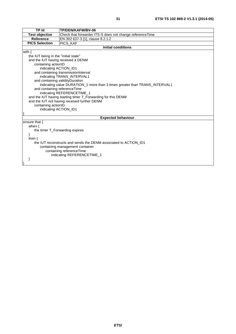|          | ٦ |  |
|----------|---|--|
| ۰.<br>۰. |   |  |

| TP Id                                                            | TP/DEN/KAFW/BV-06                                                          |  |  |
|------------------------------------------------------------------|----------------------------------------------------------------------------|--|--|
| <b>Test objective</b>                                            | Check that forwarder ITS-S does not change referenceTime                   |  |  |
| <b>Reference</b>                                                 | EN 302 637-3 [1], clause 8.2.1.2                                           |  |  |
| <b>PICS Selection</b>                                            | PICS KAF                                                                   |  |  |
|                                                                  | Initial conditions                                                         |  |  |
| with $\{$                                                        |                                                                            |  |  |
| the IUT being in the "initial state"                             |                                                                            |  |  |
| and the IUT having received a DENM                               |                                                                            |  |  |
| containing actionID                                              |                                                                            |  |  |
| indicating ACTION_ID1                                            |                                                                            |  |  |
|                                                                  | and containing transmissionInterval                                        |  |  |
|                                                                  | indicating TRANS_INTERVAL1                                                 |  |  |
| and containing validityDuration                                  |                                                                            |  |  |
|                                                                  | indicating value DURATION_1 more than 3 times greater than TRANS_INTERVAL1 |  |  |
| and containing referenceTime                                     |                                                                            |  |  |
|                                                                  | indicating REFERENCETIME_1                                                 |  |  |
|                                                                  | and the IUT having starting timer T_Forwarding for this DENM               |  |  |
|                                                                  | and the IUT not having received further DENM                               |  |  |
| containing actionID                                              |                                                                            |  |  |
| indicating ACTION_ID1                                            |                                                                            |  |  |
| <b>Expected behaviour</b>                                        |                                                                            |  |  |
| ensure that $\{$                                                 |                                                                            |  |  |
| when $\{$                                                        |                                                                            |  |  |
| the timer T_Forwarding expires                                   |                                                                            |  |  |
|                                                                  |                                                                            |  |  |
| then $\{$                                                        |                                                                            |  |  |
| the IUT reconstructs and sends the DENM associated to ACTION_ID1 |                                                                            |  |  |
| containing management container                                  |                                                                            |  |  |
| containing referenceTime                                         |                                                                            |  |  |
| indicating REFERENCETIME_1                                       |                                                                            |  |  |
|                                                                  |                                                                            |  |  |
|                                                                  |                                                                            |  |  |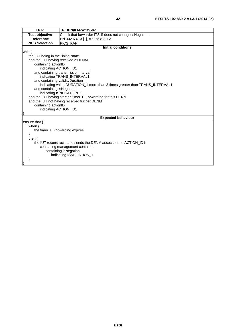|          | ×<br>I |  |
|----------|--------|--|
| ۰.<br>۰. |        |  |

| <b>TP Id</b>                                                     | TP/DEN/KAFW/BV-07                                                          |  |  |
|------------------------------------------------------------------|----------------------------------------------------------------------------|--|--|
| <b>Test objective</b>                                            | Check that forwarder ITS-S does not change isNegation                      |  |  |
| <b>Reference</b>                                                 | EN 302 637-3 [1], clause 8.2.1.3                                           |  |  |
| <b>PICS Selection</b>                                            | PICS_KAF                                                                   |  |  |
|                                                                  | <b>Initial conditions</b>                                                  |  |  |
| with $\{$                                                        |                                                                            |  |  |
| the IUT being in the "initial state"                             |                                                                            |  |  |
| and the IUT having received a DENM                               |                                                                            |  |  |
| containing actionID                                              |                                                                            |  |  |
| indicating ACTION_ID1                                            |                                                                            |  |  |
|                                                                  | and containing transmissionInterval                                        |  |  |
|                                                                  | indicating TRANS_INTERVAL1                                                 |  |  |
| and containing validity Duration                                 |                                                                            |  |  |
|                                                                  | indicating value DURATION_1 more than 3 times greater than TRANS_INTERVAL1 |  |  |
| and containing isNegation                                        |                                                                            |  |  |
|                                                                  | indicating ISNEGATION_1                                                    |  |  |
|                                                                  | and the IUT having starting timer T_Forwarding for this DENM               |  |  |
|                                                                  | and the IUT not having received further DENM                               |  |  |
| containing actionID                                              |                                                                            |  |  |
| indicating ACTION_ID1                                            |                                                                            |  |  |
|                                                                  |                                                                            |  |  |
|                                                                  | <b>Expected behaviour</b>                                                  |  |  |
| ensure that {                                                    |                                                                            |  |  |
| when $\{$                                                        |                                                                            |  |  |
|                                                                  | the timer T_Forwarding expires                                             |  |  |
|                                                                  |                                                                            |  |  |
| then $\{$                                                        |                                                                            |  |  |
| the IUT reconstructs and sends the DENM associated to ACTION ID1 |                                                                            |  |  |
| containing management container                                  |                                                                            |  |  |
| containing isNegation                                            |                                                                            |  |  |
| indicating ISNEGATION_1                                          |                                                                            |  |  |
|                                                                  |                                                                            |  |  |
|                                                                  |                                                                            |  |  |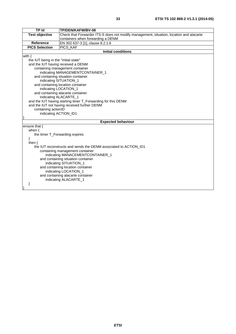| <b>TP Id</b>                                               | TP/DEN/KAFW/BV-08                                                                       |  |  |  |
|------------------------------------------------------------|-----------------------------------------------------------------------------------------|--|--|--|
| <b>Test objective</b>                                      | Check that Forwarder ITS-S does not modify management, situation, location and alacarte |  |  |  |
|                                                            | containers when forwarding a DENM                                                       |  |  |  |
| <b>Reference</b>                                           | EN 302 637-3 [1], clause 8.2.1.6                                                        |  |  |  |
| <b>PICS Selection</b>                                      | PICS_KAF                                                                                |  |  |  |
|                                                            | <b>Initial conditions</b>                                                               |  |  |  |
| with $\{$                                                  |                                                                                         |  |  |  |
| the IUT being in the "initial state"                       |                                                                                         |  |  |  |
| and the IUT having received a DENM                         |                                                                                         |  |  |  |
|                                                            | containing management container                                                         |  |  |  |
|                                                            | indicating MANAGEMENTCONTAINER_1                                                        |  |  |  |
|                                                            | and containing situation container                                                      |  |  |  |
|                                                            | indicating SITUATION_1                                                                  |  |  |  |
|                                                            | and containing location container                                                       |  |  |  |
| indicating LOCATION_1<br>and containing alacarte container |                                                                                         |  |  |  |
|                                                            | indicating ALACARTE_1                                                                   |  |  |  |
|                                                            | and the IUT having starting timer T_Forwarding for this DENM                            |  |  |  |
|                                                            | and the IUT not having received further DENM                                            |  |  |  |
| containing actionID                                        |                                                                                         |  |  |  |
| indicating ACTION_ID1                                      |                                                                                         |  |  |  |
|                                                            |                                                                                         |  |  |  |
|                                                            | <b>Expected behaviour</b>                                                               |  |  |  |
| ensure that {                                              |                                                                                         |  |  |  |
| when $\{$                                                  |                                                                                         |  |  |  |
| the timer T_Forwarding expires                             |                                                                                         |  |  |  |
|                                                            |                                                                                         |  |  |  |
| then $\{$                                                  |                                                                                         |  |  |  |
|                                                            | the IUT reconstructs and sends the DENM associated to ACTION_ID1                        |  |  |  |
|                                                            | containing management container                                                         |  |  |  |
| indicating MANACEMENTCONTAINER_1                           |                                                                                         |  |  |  |
| and containing situation container                         |                                                                                         |  |  |  |
| indicating SITUATION_1                                     |                                                                                         |  |  |  |
| and containing location container                          |                                                                                         |  |  |  |
| indicating LOCATION_1                                      |                                                                                         |  |  |  |
| and containing alacarte container                          |                                                                                         |  |  |  |
| indicating ALACARTE_1                                      |                                                                                         |  |  |  |
| ł                                                          |                                                                                         |  |  |  |
|                                                            |                                                                                         |  |  |  |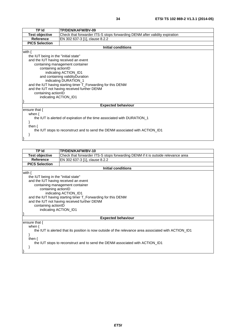| TP Id                                | TP/DEN/KAFW/BV-09                                                            |  |  |
|--------------------------------------|------------------------------------------------------------------------------|--|--|
| <b>Test objective</b>                | Check that forwarder ITS-S stops forwarding DENM after validity expiration   |  |  |
| Reference                            | EN 302 637-3 [1], clause 8.2.2                                               |  |  |
| <b>PICS Selection</b>                |                                                                              |  |  |
|                                      | <b>Initial conditions</b>                                                    |  |  |
| with $\{$                            |                                                                              |  |  |
| the IUT being in the "initial state" |                                                                              |  |  |
| and the IUT having received an event |                                                                              |  |  |
|                                      | containing management container                                              |  |  |
|                                      | containing actionID                                                          |  |  |
| indicating ACTION_ID1                |                                                                              |  |  |
|                                      | and containing validityDuration                                              |  |  |
|                                      | indicating DURATION_1                                                        |  |  |
|                                      | and the IUT having starting timer T_Forwarding for this DENM                 |  |  |
|                                      | and the IUT not having received further DENM                                 |  |  |
| containing actionID                  |                                                                              |  |  |
| indicating ACTION_ID1                |                                                                              |  |  |
|                                      |                                                                              |  |  |
|                                      | <b>Expected behaviour</b>                                                    |  |  |
| ensure that {                        |                                                                              |  |  |
| when $\{$                            |                                                                              |  |  |
|                                      | the IUT is alerted of expiration of the time associated with DURATION 1      |  |  |
|                                      |                                                                              |  |  |
| then $\{$                            |                                                                              |  |  |
|                                      | the IUT stops to reconstruct and to send the DENM associated with ACTION_ID1 |  |  |
|                                      |                                                                              |  |  |

}

| <b>TP Id</b>                                                                 | TP/DEN/KAFW/BV-10                                                                                    |  |  |  |  |
|------------------------------------------------------------------------------|------------------------------------------------------------------------------------------------------|--|--|--|--|
| Test objective                                                               | Check that forwarder ITS-S stops forwarding DENM if it is outside relevance area                     |  |  |  |  |
| Reference                                                                    | EN 302 637-3 [1], clause 8.2.2                                                                       |  |  |  |  |
| <b>PICS Selection</b>                                                        |                                                                                                      |  |  |  |  |
|                                                                              | <b>Initial conditions</b>                                                                            |  |  |  |  |
| with $\{$                                                                    |                                                                                                      |  |  |  |  |
| the IUT being in the "initial state"                                         |                                                                                                      |  |  |  |  |
| and the IUT having received an event                                         |                                                                                                      |  |  |  |  |
|                                                                              | containing management container                                                                      |  |  |  |  |
| containing actionID                                                          |                                                                                                      |  |  |  |  |
|                                                                              | indicating ACTION_ID1                                                                                |  |  |  |  |
|                                                                              | and the IUT having starting timer T_Forwarding for this DENM                                         |  |  |  |  |
|                                                                              | and the IUT not having received further DENM                                                         |  |  |  |  |
| containing actionID                                                          |                                                                                                      |  |  |  |  |
| indicating ACTION_ID1                                                        |                                                                                                      |  |  |  |  |
|                                                                              |                                                                                                      |  |  |  |  |
|                                                                              | <b>Expected behaviour</b>                                                                            |  |  |  |  |
| ensure that $\{$                                                             |                                                                                                      |  |  |  |  |
| when $\{$                                                                    |                                                                                                      |  |  |  |  |
|                                                                              | the IUT is alerted that its position is now outside of the relevance area associated with ACTION_ID1 |  |  |  |  |
|                                                                              |                                                                                                      |  |  |  |  |
| then $\{$                                                                    |                                                                                                      |  |  |  |  |
| the IUT stops to reconstruct and to send the DENM associated with ACTION_ID1 |                                                                                                      |  |  |  |  |
|                                                                              |                                                                                                      |  |  |  |  |
|                                                                              |                                                                                                      |  |  |  |  |
|                                                                              |                                                                                                      |  |  |  |  |